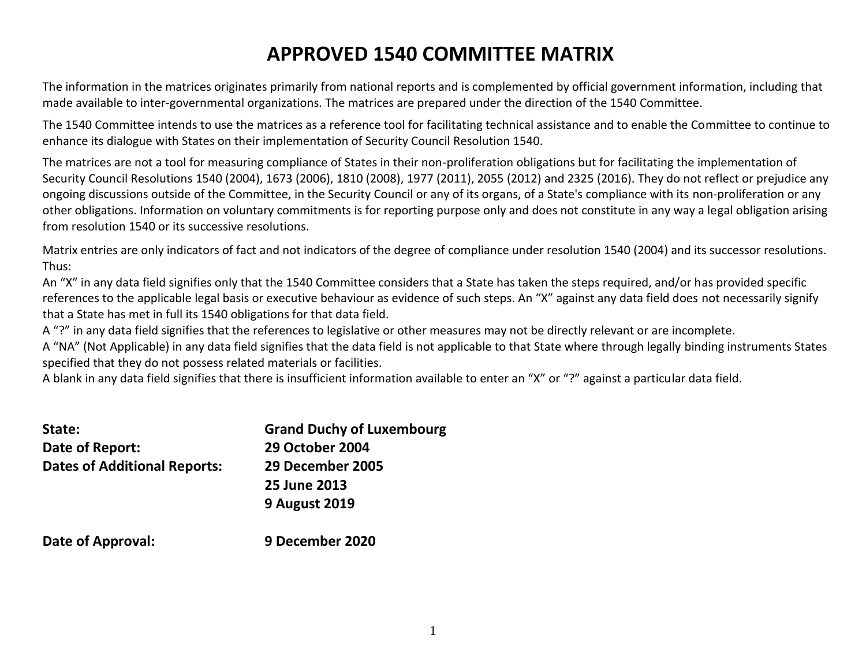## **APPROVED 1540 COMMITTEE MATRIX**

The information in the matrices originates primarily from national reports and is complemented by official government information, including that made available to inter-governmental organizations. The matrices are prepared under the direction of the 1540 Committee.

The 1540 Committee intends to use the matrices as a reference tool for facilitating technical assistance and to enable the Committee to continue to enhance its dialogue with States on their implementation of Security Council Resolution 1540.

The matrices are not a tool for measuring compliance of States in their non-proliferation obligations but for facilitating the implementation of Security Council Resolutions 1540 (2004), 1673 (2006), 1810 (2008), 1977 (2011), 2055 (2012) and 2325 (2016). They do not reflect or prejudice any ongoing discussions outside of the Committee, in the Security Council or any of its organs, of a State's compliance with its non-proliferation or any other obligations. Information on voluntary commitments is for reporting purpose only and does not constitute in any way a legal obligation arising from resolution 1540 or its successive resolutions.

Matrix entries are only indicators of fact and not indicators of the degree of compliance under resolution 1540 (2004) and its successor resolutions. Thus:

An "X" in any data field signifies only that the 1540 Committee considers that a State has taken the steps required, and/or has provided specific references to the applicable legal basis or executive behaviour as evidence of such steps. An "X" against any data field does not necessarily signify that a State has met in full its 1540 obligations for that data field.

A "?" in any data field signifies that the references to legislative or other measures may not be directly relevant or are incomplete.

A "NA" (Not Applicable) in any data field signifies that the data field is not applicable to that State where through legally binding instruments States specified that they do not possess related materials or facilities.

A blank in any data field signifies that there is insufficient information available to enter an "X" or "?" against a particular data field.

| State:                              | <b>Grand Duchy of Luxembourg</b> |
|-------------------------------------|----------------------------------|
| Date of Report:                     | <b>29 October 2004</b>           |
| <b>Dates of Additional Reports:</b> | 29 December 2005                 |
|                                     | 25 June 2013                     |
|                                     | <b>9 August 2019</b>             |
| Date of Approval:                   | 9 December 2020                  |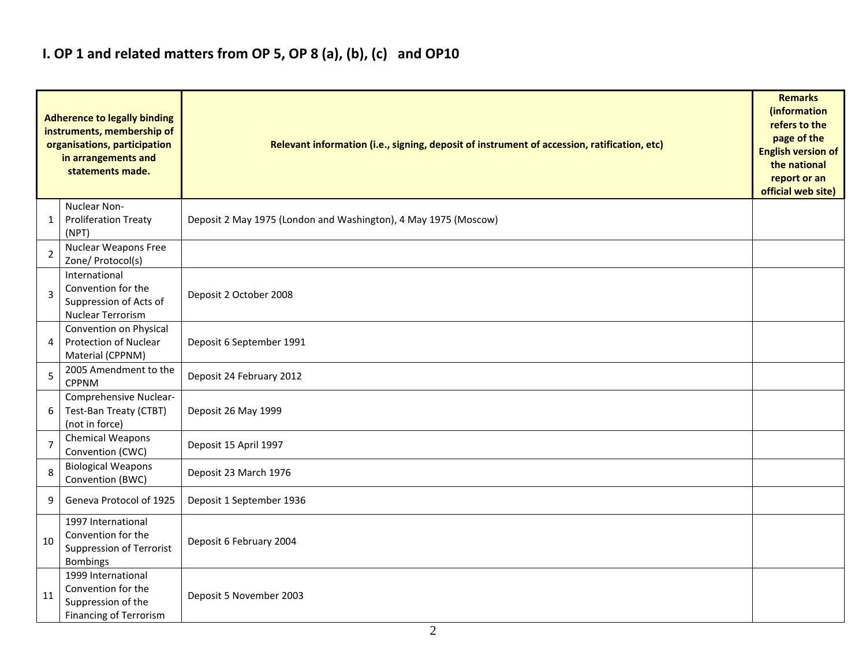### **I. OP 1 and related matters from OP 5, OP 8 (a), (b), (c) and OP10**

| <b>Adherence to legally binding</b><br>instruments, membership of<br>organisations, participation<br>in arrangements and<br>statements made. |                                                                                                 | Relevant information (i.e., signing, deposit of instrument of accession, ratification, etc) |  |  |  |  |  |  |  |  |
|----------------------------------------------------------------------------------------------------------------------------------------------|-------------------------------------------------------------------------------------------------|---------------------------------------------------------------------------------------------|--|--|--|--|--|--|--|--|
| 1                                                                                                                                            | Nuclear Non-<br><b>Proliferation Treaty</b><br>(NPT)                                            | Deposit 2 May 1975 (London and Washington), 4 May 1975 (Moscow)                             |  |  |  |  |  |  |  |  |
| 2                                                                                                                                            | Nuclear Weapons Free<br>Zone/ Protocol(s)                                                       |                                                                                             |  |  |  |  |  |  |  |  |
| 3                                                                                                                                            | International<br>Convention for the<br>Suppression of Acts of<br>Nuclear Terrorism              | Deposit 2 October 2008                                                                      |  |  |  |  |  |  |  |  |
| 4                                                                                                                                            | Convention on Physical<br>Protection of Nuclear<br>Material (CPPNM)                             | Deposit 6 September 1991                                                                    |  |  |  |  |  |  |  |  |
| 5                                                                                                                                            | 2005 Amendment to the<br><b>CPPNM</b>                                                           | Deposit 24 February 2012                                                                    |  |  |  |  |  |  |  |  |
| 6                                                                                                                                            | Comprehensive Nuclear-<br>Test-Ban Treaty (CTBT)<br>(not in force)                              | Deposit 26 May 1999                                                                         |  |  |  |  |  |  |  |  |
| $\overline{7}$                                                                                                                               | <b>Chemical Weapons</b><br>Convention (CWC)                                                     | Deposit 15 April 1997                                                                       |  |  |  |  |  |  |  |  |
| 8                                                                                                                                            | <b>Biological Weapons</b><br>Convention (BWC)                                                   | Deposit 23 March 1976                                                                       |  |  |  |  |  |  |  |  |
| 9                                                                                                                                            | Geneva Protocol of 1925                                                                         | Deposit 1 September 1936                                                                    |  |  |  |  |  |  |  |  |
| 10                                                                                                                                           | 1997 International<br>Convention for the<br>Suppression of Terrorist<br><b>Bombings</b>         | Deposit 6 February 2004                                                                     |  |  |  |  |  |  |  |  |
| 11                                                                                                                                           | 1999 International<br>Convention for the<br>Suppression of the<br><b>Financing of Terrorism</b> | Deposit 5 November 2003                                                                     |  |  |  |  |  |  |  |  |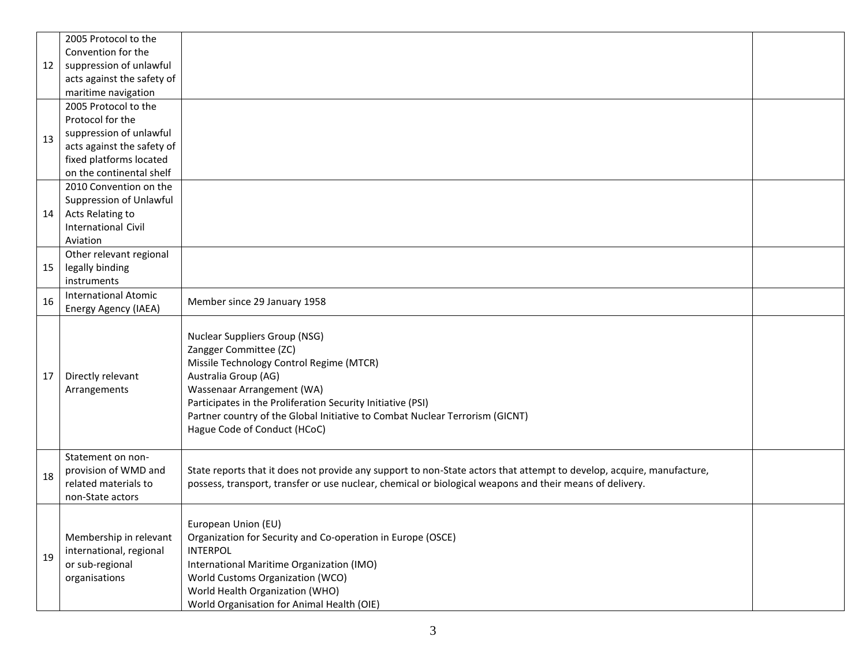|    | 2005 Protocol to the                                                                  |                                                                                                                                                                                                                                                                                                                                          |  |
|----|---------------------------------------------------------------------------------------|------------------------------------------------------------------------------------------------------------------------------------------------------------------------------------------------------------------------------------------------------------------------------------------------------------------------------------------|--|
|    | Convention for the                                                                    |                                                                                                                                                                                                                                                                                                                                          |  |
| 12 | suppression of unlawful                                                               |                                                                                                                                                                                                                                                                                                                                          |  |
|    | acts against the safety of                                                            |                                                                                                                                                                                                                                                                                                                                          |  |
|    | maritime navigation                                                                   |                                                                                                                                                                                                                                                                                                                                          |  |
|    | 2005 Protocol to the                                                                  |                                                                                                                                                                                                                                                                                                                                          |  |
|    | Protocol for the                                                                      |                                                                                                                                                                                                                                                                                                                                          |  |
| 13 | suppression of unlawful                                                               |                                                                                                                                                                                                                                                                                                                                          |  |
|    | acts against the safety of                                                            |                                                                                                                                                                                                                                                                                                                                          |  |
|    | fixed platforms located                                                               |                                                                                                                                                                                                                                                                                                                                          |  |
|    | on the continental shelf                                                              |                                                                                                                                                                                                                                                                                                                                          |  |
|    | 2010 Convention on the                                                                |                                                                                                                                                                                                                                                                                                                                          |  |
|    | Suppression of Unlawful                                                               |                                                                                                                                                                                                                                                                                                                                          |  |
| 14 | Acts Relating to                                                                      |                                                                                                                                                                                                                                                                                                                                          |  |
|    | <b>International Civil</b>                                                            |                                                                                                                                                                                                                                                                                                                                          |  |
|    | Aviation                                                                              |                                                                                                                                                                                                                                                                                                                                          |  |
|    | Other relevant regional                                                               |                                                                                                                                                                                                                                                                                                                                          |  |
| 15 | legally binding                                                                       |                                                                                                                                                                                                                                                                                                                                          |  |
|    | instruments                                                                           |                                                                                                                                                                                                                                                                                                                                          |  |
| 16 | <b>International Atomic</b>                                                           | Member since 29 January 1958                                                                                                                                                                                                                                                                                                             |  |
|    | Energy Agency (IAEA)                                                                  |                                                                                                                                                                                                                                                                                                                                          |  |
| 17 | Directly relevant<br>Arrangements                                                     | Nuclear Suppliers Group (NSG)<br>Zangger Committee (ZC)<br>Missile Technology Control Regime (MTCR)<br>Australia Group (AG)<br>Wassenaar Arrangement (WA)<br>Participates in the Proliferation Security Initiative (PSI)<br>Partner country of the Global Initiative to Combat Nuclear Terrorism (GICNT)<br>Hague Code of Conduct (HCoC) |  |
| 18 | Statement on non-<br>provision of WMD and<br>related materials to<br>non-State actors | State reports that it does not provide any support to non-State actors that attempt to develop, acquire, manufacture,<br>possess, transport, transfer or use nuclear, chemical or biological weapons and their means of delivery.                                                                                                        |  |
| 19 | Membership in relevant<br>international, regional<br>or sub-regional<br>organisations | European Union (EU)<br>Organization for Security and Co-operation in Europe (OSCE)<br><b>INTERPOL</b><br>International Maritime Organization (IMO)<br>World Customs Organization (WCO)<br>World Health Organization (WHO)<br>World Organisation for Animal Health (OIE)                                                                  |  |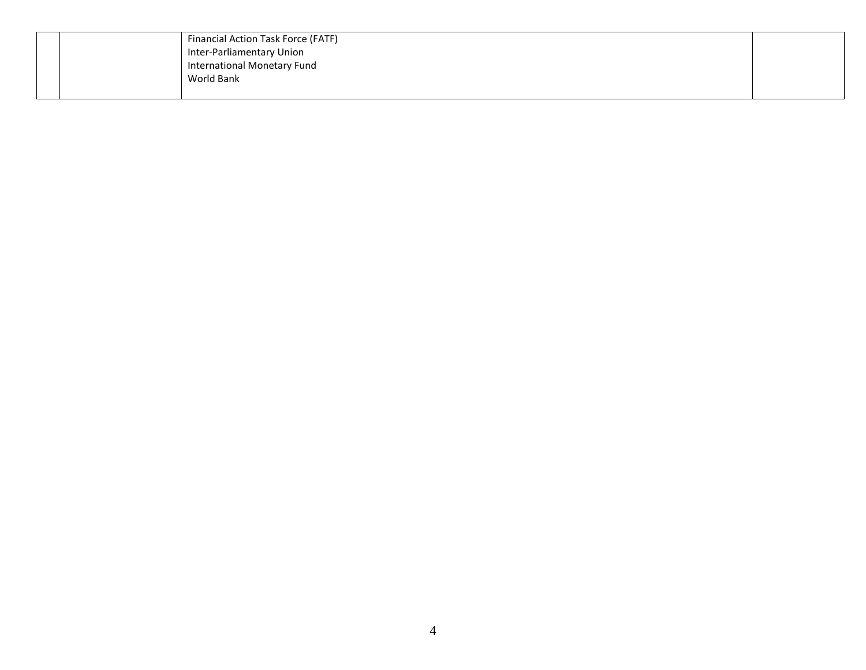|  | Financial Action Task Force (FATF) |  |
|--|------------------------------------|--|
|  | Inter-Parliamentary Union          |  |
|  | International Monetary Fund        |  |
|  | World Bank                         |  |
|  |                                    |  |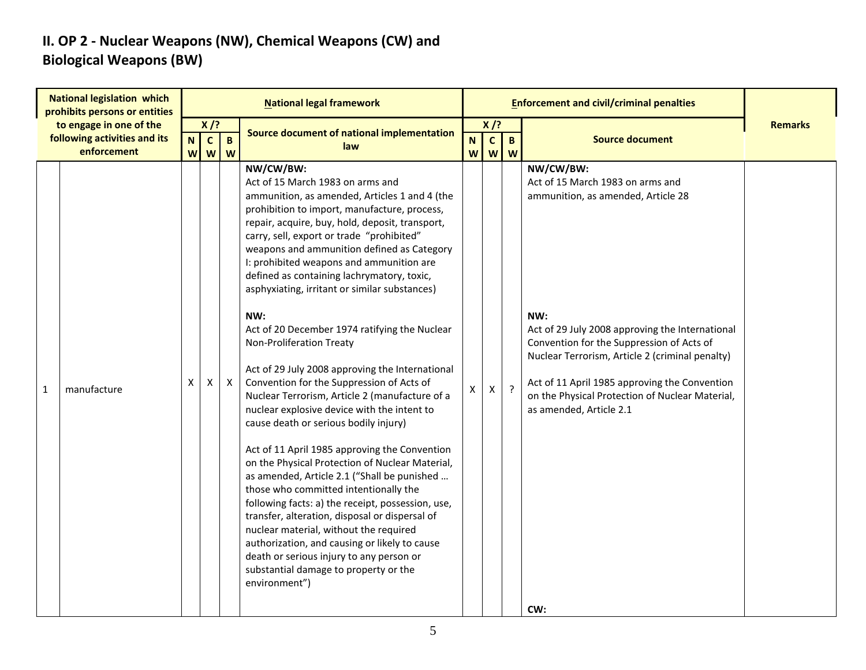#### **II. OP 2 - Nuclear Weapons (NW), Chemical Weapons (CW) and Biological Weapons (BW)**

|              | <b>National legislation which</b><br>prohibits persons or entities     |                  |                                                     |                     | <b>National legal framework</b>                                                                                                                                                                                                                                                                                                                                                                                                                                                                                                                                                                                                                                                                                                                                                                                                                                                                                                                                                                                                                                                                                                                                                                                                                                           |                |                             |                   | <b>Enforcement and civil/criminal penalties</b>                                                                                                                                                                                                                                                                                                                                     |                |
|--------------|------------------------------------------------------------------------|------------------|-----------------------------------------------------|---------------------|---------------------------------------------------------------------------------------------------------------------------------------------------------------------------------------------------------------------------------------------------------------------------------------------------------------------------------------------------------------------------------------------------------------------------------------------------------------------------------------------------------------------------------------------------------------------------------------------------------------------------------------------------------------------------------------------------------------------------------------------------------------------------------------------------------------------------------------------------------------------------------------------------------------------------------------------------------------------------------------------------------------------------------------------------------------------------------------------------------------------------------------------------------------------------------------------------------------------------------------------------------------------------|----------------|-----------------------------|-------------------|-------------------------------------------------------------------------------------------------------------------------------------------------------------------------------------------------------------------------------------------------------------------------------------------------------------------------------------------------------------------------------------|----------------|
|              | to engage in one of the<br>following activities and its<br>enforcement | $\mathbf N$<br>W | $X$ /?<br>$\mathbf{C}$<br>$\boldsymbol{\mathsf{W}}$ | $\overline{B}$<br>W | Source document of national implementation<br>law                                                                                                                                                                                                                                                                                                                                                                                                                                                                                                                                                                                                                                                                                                                                                                                                                                                                                                                                                                                                                                                                                                                                                                                                                         | N.<br><b>W</b> | $X$ /?<br>$\mathbf{C}$<br>W | $\mathbf{B}$<br>W | <b>Source document</b>                                                                                                                                                                                                                                                                                                                                                              | <b>Remarks</b> |
| $\mathbf{1}$ | manufacture                                                            | X                | Χ                                                   | $\mathsf{X}$        | NW/CW/BW:<br>Act of 15 March 1983 on arms and<br>ammunition, as amended, Articles 1 and 4 (the<br>prohibition to import, manufacture, process,<br>repair, acquire, buy, hold, deposit, transport,<br>carry, sell, export or trade "prohibited"<br>weapons and ammunition defined as Category<br>I: prohibited weapons and ammunition are<br>defined as containing lachrymatory, toxic,<br>asphyxiating, irritant or similar substances)<br>NW:<br>Act of 20 December 1974 ratifying the Nuclear<br>Non-Proliferation Treaty<br>Act of 29 July 2008 approving the International<br>Convention for the Suppression of Acts of<br>Nuclear Terrorism, Article 2 (manufacture of a<br>nuclear explosive device with the intent to<br>cause death or serious bodily injury)<br>Act of 11 April 1985 approving the Convention<br>on the Physical Protection of Nuclear Material,<br>as amended, Article 2.1 ("Shall be punished<br>those who committed intentionally the<br>following facts: a) the receipt, possession, use,<br>transfer, alteration, disposal or dispersal of<br>nuclear material, without the required<br>authorization, and causing or likely to cause<br>death or serious injury to any person or<br>substantial damage to property or the<br>environment") | X              | Χ                           | $\cdot$           | NW/CW/BW:<br>Act of 15 March 1983 on arms and<br>ammunition, as amended, Article 28<br>NW:<br>Act of 29 July 2008 approving the International<br>Convention for the Suppression of Acts of<br>Nuclear Terrorism, Article 2 (criminal penalty)<br>Act of 11 April 1985 approving the Convention<br>on the Physical Protection of Nuclear Material,<br>as amended, Article 2.1<br>CW: |                |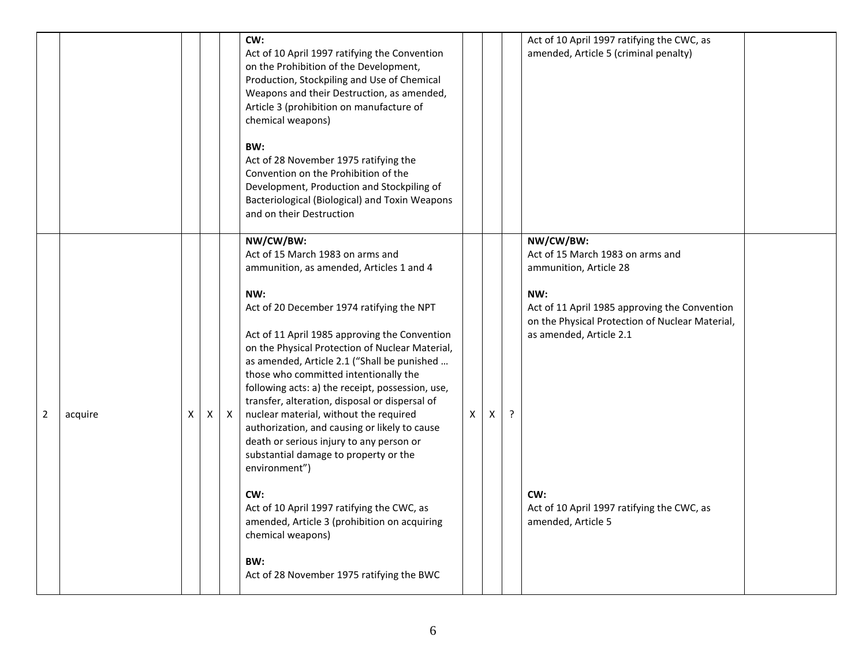|                |         |   |   |              | CW:<br>Act of 10 April 1997 ratifying the Convention<br>on the Prohibition of the Development,<br>Production, Stockpiling and Use of Chemical<br>Weapons and their Destruction, as amended,<br>Article 3 (prohibition on manufacture of<br>chemical weapons)<br>BW:<br>Act of 28 November 1975 ratifying the<br>Convention on the Prohibition of the<br>Development, Production and Stockpiling of<br>Bacteriological (Biological) and Toxin Weapons<br>and on their Destruction                                                                                                                                                                                                                                                                                                                                               |   |   |   | Act of 10 April 1997 ratifying the CWC, as<br>amended, Article 5 (criminal penalty)                                                                                                                                                                                                      |  |
|----------------|---------|---|---|--------------|--------------------------------------------------------------------------------------------------------------------------------------------------------------------------------------------------------------------------------------------------------------------------------------------------------------------------------------------------------------------------------------------------------------------------------------------------------------------------------------------------------------------------------------------------------------------------------------------------------------------------------------------------------------------------------------------------------------------------------------------------------------------------------------------------------------------------------|---|---|---|------------------------------------------------------------------------------------------------------------------------------------------------------------------------------------------------------------------------------------------------------------------------------------------|--|
| $\overline{2}$ | acquire | X | X | $\mathsf{X}$ | NW/CW/BW:<br>Act of 15 March 1983 on arms and<br>ammunition, as amended, Articles 1 and 4<br>NW:<br>Act of 20 December 1974 ratifying the NPT<br>Act of 11 April 1985 approving the Convention<br>on the Physical Protection of Nuclear Material,<br>as amended, Article 2.1 ("Shall be punished<br>those who committed intentionally the<br>following acts: a) the receipt, possession, use,<br>transfer, alteration, disposal or dispersal of<br>nuclear material, without the required<br>authorization, and causing or likely to cause<br>death or serious injury to any person or<br>substantial damage to property or the<br>environment")<br>CW:<br>Act of 10 April 1997 ratifying the CWC, as<br>amended, Article 3 (prohibition on acquiring<br>chemical weapons)<br>BW:<br>Act of 28 November 1975 ratifying the BWC | X | X | ? | NW/CW/BW:<br>Act of 15 March 1983 on arms and<br>ammunition, Article 28<br>NW:<br>Act of 11 April 1985 approving the Convention<br>on the Physical Protection of Nuclear Material,<br>as amended, Article 2.1<br>CW:<br>Act of 10 April 1997 ratifying the CWC, as<br>amended, Article 5 |  |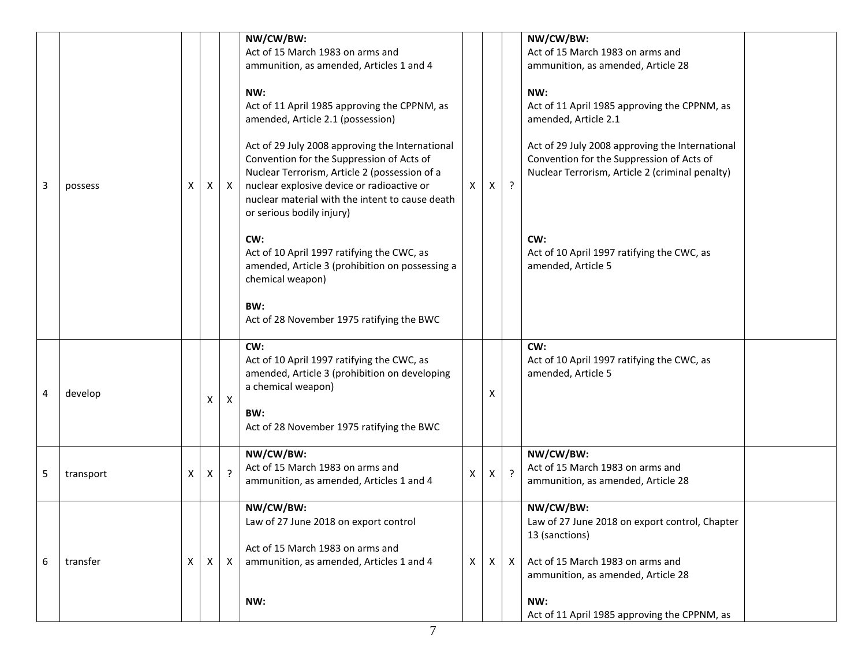|   |           |   |              |              | NW/CW/BW:<br>Act of 15 March 1983 on arms and<br>ammunition, as amended, Articles 1 and 4                                                                                                                                                                                   |   |              |              | NW/CW/BW:<br>Act of 15 March 1983 on arms and<br>ammunition, as amended, Article 28                                                             |  |
|---|-----------|---|--------------|--------------|-----------------------------------------------------------------------------------------------------------------------------------------------------------------------------------------------------------------------------------------------------------------------------|---|--------------|--------------|-------------------------------------------------------------------------------------------------------------------------------------------------|--|
|   |           |   |              |              | NW:<br>Act of 11 April 1985 approving the CPPNM, as<br>amended, Article 2.1 (possession)                                                                                                                                                                                    |   |              |              | NW:<br>Act of 11 April 1985 approving the CPPNM, as<br>amended, Article 2.1                                                                     |  |
| 3 | possess   | Х | X            | $\mathsf{X}$ | Act of 29 July 2008 approving the International<br>Convention for the Suppression of Acts of<br>Nuclear Terrorism, Article 2 (possession of a<br>nuclear explosive device or radioactive or<br>nuclear material with the intent to cause death<br>or serious bodily injury) | X | X            | $\cdot$      | Act of 29 July 2008 approving the International<br>Convention for the Suppression of Acts of<br>Nuclear Terrorism, Article 2 (criminal penalty) |  |
|   |           |   |              |              | CW:<br>Act of 10 April 1997 ratifying the CWC, as<br>amended, Article 3 (prohibition on possessing a<br>chemical weapon)                                                                                                                                                    |   |              |              | CW:<br>Act of 10 April 1997 ratifying the CWC, as<br>amended, Article 5                                                                         |  |
|   |           |   |              |              | BW:<br>Act of 28 November 1975 ratifying the BWC                                                                                                                                                                                                                            |   |              |              |                                                                                                                                                 |  |
| 4 | develop   |   | X            | $\mathsf{X}$ | CW:<br>Act of 10 April 1997 ratifying the CWC, as<br>amended, Article 3 (prohibition on developing<br>a chemical weapon)                                                                                                                                                    |   | Х            |              | CW:<br>Act of 10 April 1997 ratifying the CWC, as<br>amended, Article 5                                                                         |  |
|   |           |   |              |              | BW:<br>Act of 28 November 1975 ratifying the BWC                                                                                                                                                                                                                            |   |              |              |                                                                                                                                                 |  |
| 5 | transport | X | $\mathsf{X}$ | $\cdot$      | NW/CW/BW:<br>Act of 15 March 1983 on arms and<br>ammunition, as amended, Articles 1 and 4                                                                                                                                                                                   | X | $\mathsf{X}$ | $\cdot$      | NW/CW/BW:<br>Act of 15 March 1983 on arms and<br>ammunition, as amended, Article 28                                                             |  |
|   |           |   |              |              | NW/CW/BW:<br>Law of 27 June 2018 on export control                                                                                                                                                                                                                          |   |              |              | NW/CW/BW:<br>Law of 27 June 2018 on export control, Chapter<br>13 (sanctions)                                                                   |  |
| 6 | transfer  | Χ | X            | $\mathsf{X}$ | Act of 15 March 1983 on arms and<br>ammunition, as amended, Articles 1 and 4                                                                                                                                                                                                | X | X            | $\mathsf{x}$ | Act of 15 March 1983 on arms and<br>ammunition, as amended, Article 28                                                                          |  |
|   |           |   |              |              | NW:                                                                                                                                                                                                                                                                         |   |              |              | NW:<br>Act of 11 April 1985 approving the CPPNM, as                                                                                             |  |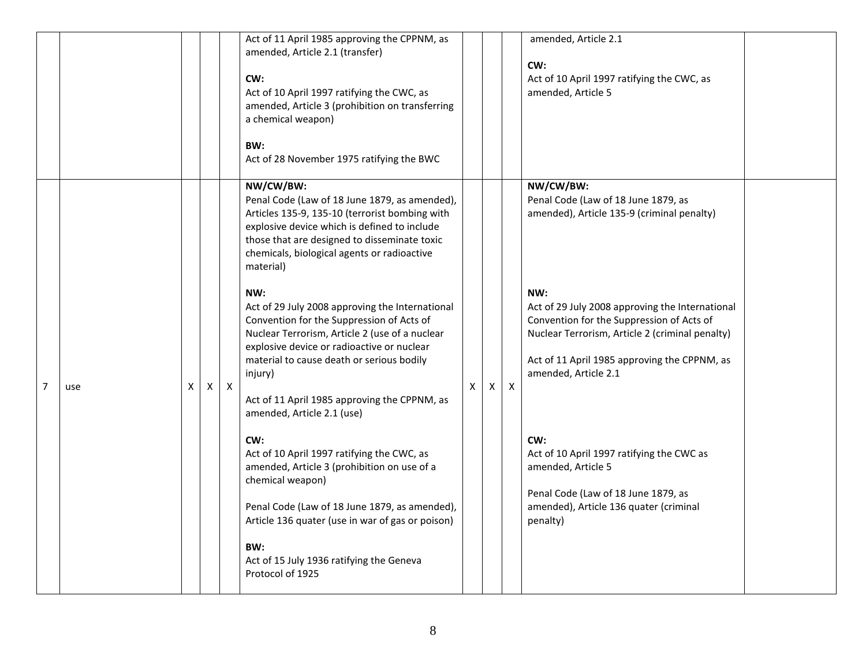|   |     |   |   |              | Act of 11 April 1985 approving the CPPNM, as<br>amended, Article 2.1 (transfer)<br>CW:<br>Act of 10 April 1997 ratifying the CWC, as<br>amended, Article 3 (prohibition on transferring<br>a chemical weapon)<br>BW:<br>Act of 28 November 1975 ratifying the BWC                                                                                                                                                                                                                                                                                                                                                                                                                                                                                                                                                                                                                                                         |   |   |              | amended, Article 2.1<br>CW:<br>Act of 10 April 1997 ratifying the CWC, as<br>amended, Article 5                                                                                                                                                                                                                                                                                                                                                                                                         |  |
|---|-----|---|---|--------------|---------------------------------------------------------------------------------------------------------------------------------------------------------------------------------------------------------------------------------------------------------------------------------------------------------------------------------------------------------------------------------------------------------------------------------------------------------------------------------------------------------------------------------------------------------------------------------------------------------------------------------------------------------------------------------------------------------------------------------------------------------------------------------------------------------------------------------------------------------------------------------------------------------------------------|---|---|--------------|---------------------------------------------------------------------------------------------------------------------------------------------------------------------------------------------------------------------------------------------------------------------------------------------------------------------------------------------------------------------------------------------------------------------------------------------------------------------------------------------------------|--|
| 7 | use | X | X | $\mathsf{X}$ | NW/CW/BW:<br>Penal Code (Law of 18 June 1879, as amended),<br>Articles 135-9, 135-10 (terrorist bombing with<br>explosive device which is defined to include<br>those that are designed to disseminate toxic<br>chemicals, biological agents or radioactive<br>material)<br>NW:<br>Act of 29 July 2008 approving the International<br>Convention for the Suppression of Acts of<br>Nuclear Terrorism, Article 2 (use of a nuclear<br>explosive device or radioactive or nuclear<br>material to cause death or serious bodily<br>injury)<br>Act of 11 April 1985 approving the CPPNM, as<br>amended, Article 2.1 (use)<br>CW:<br>Act of 10 April 1997 ratifying the CWC, as<br>amended, Article 3 (prohibition on use of a<br>chemical weapon)<br>Penal Code (Law of 18 June 1879, as amended),<br>Article 136 quater (use in war of gas or poison)<br>BW:<br>Act of 15 July 1936 ratifying the Geneva<br>Protocol of 1925 | X | X | $\mathsf{X}$ | NW/CW/BW:<br>Penal Code (Law of 18 June 1879, as<br>amended), Article 135-9 (criminal penalty)<br>NW:<br>Act of 29 July 2008 approving the International<br>Convention for the Suppression of Acts of<br>Nuclear Terrorism, Article 2 (criminal penalty)<br>Act of 11 April 1985 approving the CPPNM, as<br>amended, Article 2.1<br>CW:<br>Act of 10 April 1997 ratifying the CWC as<br>amended, Article 5<br>Penal Code (Law of 18 June 1879, as<br>amended), Article 136 quater (criminal<br>penalty) |  |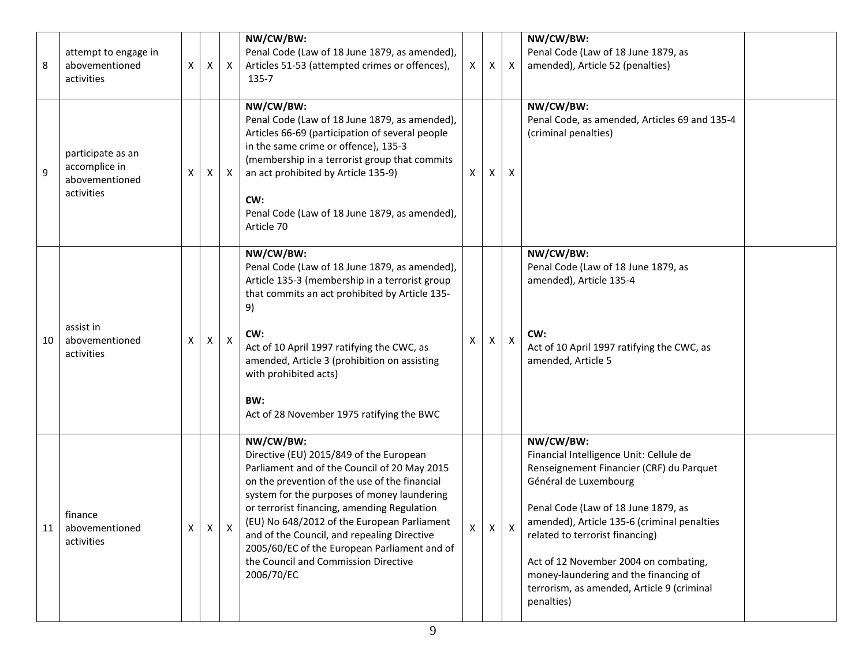| 8  | attempt to engage in<br>abovementioned<br>activities               | X            | X            | $\mathsf{X}$       | NW/CW/BW:<br>Penal Code (Law of 18 June 1879, as amended),<br>Articles 51-53 (attempted crimes or offences),<br>135-7                                                                                                                                                                                                                                                                                                                                   | $\mathsf{X}$ | X            | $\mathsf{X}$ | NW/CW/BW:<br>Penal Code (Law of 18 June 1879, as<br>amended), Article 52 (penalties)                                                                                                                                                                                                                                                                                                             |  |
|----|--------------------------------------------------------------------|--------------|--------------|--------------------|---------------------------------------------------------------------------------------------------------------------------------------------------------------------------------------------------------------------------------------------------------------------------------------------------------------------------------------------------------------------------------------------------------------------------------------------------------|--------------|--------------|--------------|--------------------------------------------------------------------------------------------------------------------------------------------------------------------------------------------------------------------------------------------------------------------------------------------------------------------------------------------------------------------------------------------------|--|
| 9  | participate as an<br>accomplice in<br>abovementioned<br>activities | x            | X            | X                  | NW/CW/BW:<br>Penal Code (Law of 18 June 1879, as amended),<br>Articles 66-69 (participation of several people<br>in the same crime or offence), 135-3<br>(membership in a terrorist group that commits<br>an act prohibited by Article 135-9)<br>CW:<br>Penal Code (Law of 18 June 1879, as amended),<br>Article 70                                                                                                                                     | X            | X            | X            | NW/CW/BW:<br>Penal Code, as amended, Articles 69 and 135-4<br>(criminal penalties)                                                                                                                                                                                                                                                                                                               |  |
| 10 | assist in<br>abovementioned<br>activities                          | х            | X            | $\pmb{\mathsf{X}}$ | NW/CW/BW:<br>Penal Code (Law of 18 June 1879, as amended),<br>Article 135-3 (membership in a terrorist group<br>that commits an act prohibited by Article 135-<br>9)<br>CW:<br>Act of 10 April 1997 ratifying the CWC, as<br>amended, Article 3 (prohibition on assisting<br>with prohibited acts)<br>BW:<br>Act of 28 November 1975 ratifying the BWC                                                                                                  | $\times$     | X.           | X            | NW/CW/BW:<br>Penal Code (Law of 18 June 1879, as<br>amended), Article 135-4<br>CW:<br>Act of 10 April 1997 ratifying the CWC, as<br>amended, Article 5                                                                                                                                                                                                                                           |  |
| 11 | finance<br>abovementioned<br>activities                            | $\mathsf{X}$ | $\mathsf{X}$ |                    | NW/CW/BW:<br>Directive (EU) 2015/849 of the European<br>Parliament and of the Council of 20 May 2015<br>on the prevention of the use of the financial<br>system for the purposes of money laundering<br>or terrorist financing, amending Regulation<br>(EU) No 648/2012 of the European Parliament<br>and of the Council, and repealing Directive<br>2005/60/EC of the European Parliament and of<br>the Council and Commission Directive<br>2006/70/EC | X            | $\mathsf{X}$ |              | NW/CW/BW:<br>Financial Intelligence Unit: Cellule de<br>Renseignement Financier (CRF) du Parquet<br>Général de Luxembourg<br>Penal Code (Law of 18 June 1879, as<br>amended), Article 135-6 (criminal penalties<br>related to terrorist financing)<br>Act of 12 November 2004 on combating,<br>money-laundering and the financing of<br>terrorism, as amended, Article 9 (criminal<br>penalties) |  |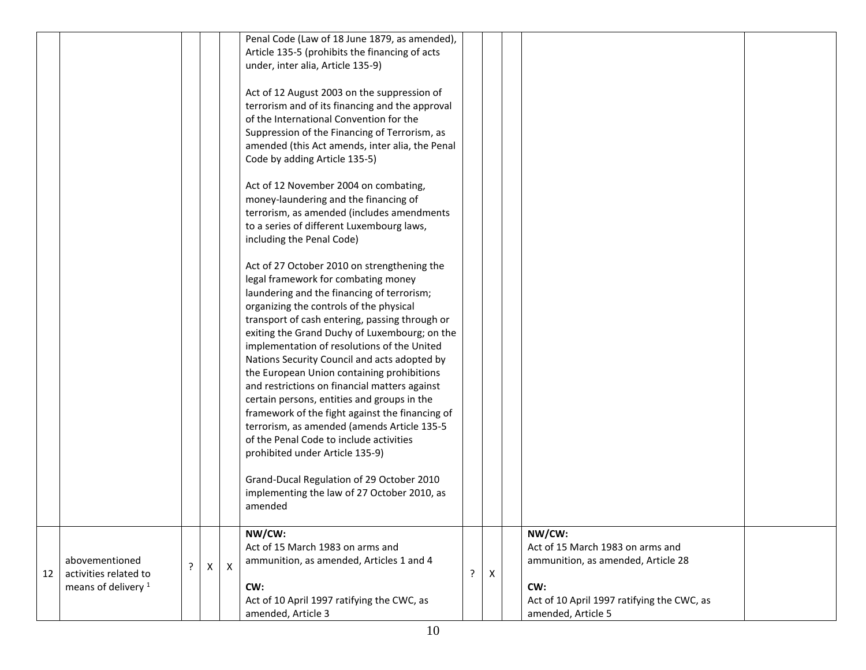|    |                                |   |   |              | Penal Code (Law of 18 June 1879, as amended),                                                  |    |   |                                            |  |
|----|--------------------------------|---|---|--------------|------------------------------------------------------------------------------------------------|----|---|--------------------------------------------|--|
|    |                                |   |   |              | Article 135-5 (prohibits the financing of acts                                                 |    |   |                                            |  |
|    |                                |   |   |              | under, inter alia, Article 135-9)                                                              |    |   |                                            |  |
|    |                                |   |   |              | Act of 12 August 2003 on the suppression of                                                    |    |   |                                            |  |
|    |                                |   |   |              | terrorism and of its financing and the approval                                                |    |   |                                            |  |
|    |                                |   |   |              | of the International Convention for the                                                        |    |   |                                            |  |
|    |                                |   |   |              | Suppression of the Financing of Terrorism, as                                                  |    |   |                                            |  |
|    |                                |   |   |              | amended (this Act amends, inter alia, the Penal                                                |    |   |                                            |  |
|    |                                |   |   |              | Code by adding Article 135-5)                                                                  |    |   |                                            |  |
|    |                                |   |   |              |                                                                                                |    |   |                                            |  |
|    |                                |   |   |              | Act of 12 November 2004 on combating,                                                          |    |   |                                            |  |
|    |                                |   |   |              | money-laundering and the financing of                                                          |    |   |                                            |  |
|    |                                |   |   |              | terrorism, as amended (includes amendments                                                     |    |   |                                            |  |
|    |                                |   |   |              | to a series of different Luxembourg laws,<br>including the Penal Code)                         |    |   |                                            |  |
|    |                                |   |   |              |                                                                                                |    |   |                                            |  |
|    |                                |   |   |              | Act of 27 October 2010 on strengthening the                                                    |    |   |                                            |  |
|    |                                |   |   |              | legal framework for combating money                                                            |    |   |                                            |  |
|    |                                |   |   |              | laundering and the financing of terrorism;                                                     |    |   |                                            |  |
|    |                                |   |   |              | organizing the controls of the physical                                                        |    |   |                                            |  |
|    |                                |   |   |              | transport of cash entering, passing through or                                                 |    |   |                                            |  |
|    |                                |   |   |              | exiting the Grand Duchy of Luxembourg; on the                                                  |    |   |                                            |  |
|    |                                |   |   |              | implementation of resolutions of the United                                                    |    |   |                                            |  |
|    |                                |   |   |              | Nations Security Council and acts adopted by                                                   |    |   |                                            |  |
|    |                                |   |   |              | the European Union containing prohibitions                                                     |    |   |                                            |  |
|    |                                |   |   |              | and restrictions on financial matters against                                                  |    |   |                                            |  |
|    |                                |   |   |              | certain persons, entities and groups in the<br>framework of the fight against the financing of |    |   |                                            |  |
|    |                                |   |   |              | terrorism, as amended (amends Article 135-5                                                    |    |   |                                            |  |
|    |                                |   |   |              | of the Penal Code to include activities                                                        |    |   |                                            |  |
|    |                                |   |   |              | prohibited under Article 135-9)                                                                |    |   |                                            |  |
|    |                                |   |   |              |                                                                                                |    |   |                                            |  |
|    |                                |   |   |              | Grand-Ducal Regulation of 29 October 2010                                                      |    |   |                                            |  |
|    |                                |   |   |              | implementing the law of 27 October 2010, as                                                    |    |   |                                            |  |
|    |                                |   |   |              | amended                                                                                        |    |   |                                            |  |
|    |                                |   |   |              | NW/CW:                                                                                         |    |   | NW/CW:                                     |  |
|    |                                |   |   |              | Act of 15 March 1983 on arms and                                                               |    |   | Act of 15 March 1983 on arms and           |  |
|    | abovementioned                 |   |   |              | ammunition, as amended, Articles 1 and 4                                                       |    |   | ammunition, as amended, Article 28         |  |
| 12 | activities related to          | ŗ | X | $\mathsf{X}$ |                                                                                                | P. | Х |                                            |  |
|    | means of delivery <sup>1</sup> |   |   |              | CW:                                                                                            |    |   | CW:                                        |  |
|    |                                |   |   |              | Act of 10 April 1997 ratifying the CWC, as                                                     |    |   | Act of 10 April 1997 ratifying the CWC, as |  |
|    |                                |   |   |              | amended, Article 3                                                                             |    |   | amended, Article 5                         |  |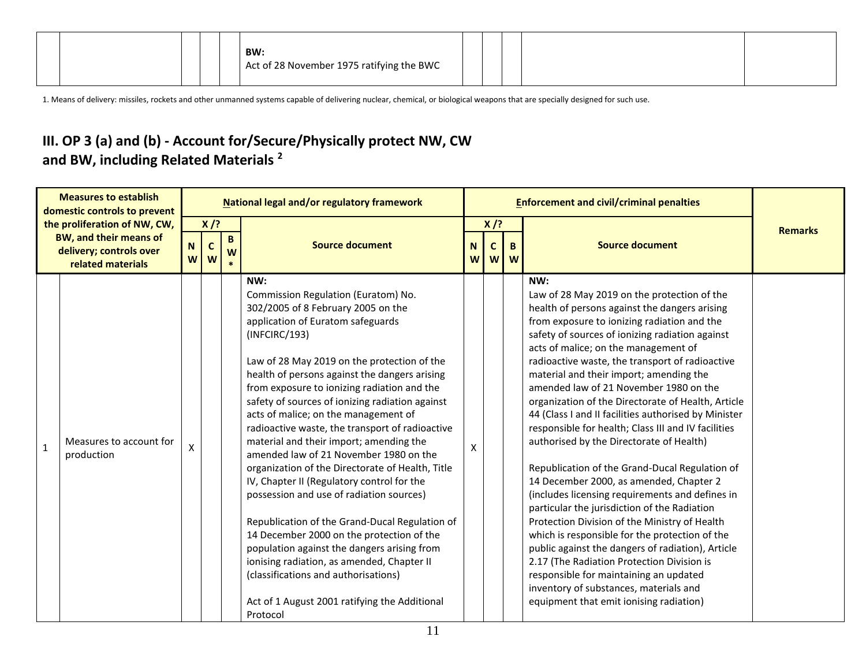| BW:<br>Act of 28 November 1975 ratifying the BWC |  |  |
|--------------------------------------------------|--|--|
|--------------------------------------------------|--|--|

1. Means of delivery: missiles, rockets and other unmanned systems capable of delivering nuclear, chemical, or biological weapons that are specially designed for such use.

#### **III. OP 3 (a) and (b) - Account for/Secure/Physically protect NW, CW and BW, including Related Materials <sup>2</sup>**

| <b>Measures to establish</b><br>domestic controls to prevent<br>the proliferation of NW, CW,<br><b>BW, and their means of</b><br>delivery; controls over<br>related materials |                                       | National legal and/or regulatory framework |                  |        |                                                                                                                                                                                                                                                                                                                                                                                                                                                                                                                                                                                                                                                                                                                                                                                                                                                                                                                                                                         |              |                  | <b>Enforcement and civil/criminal penalties</b> |                                                                                                                                                                                                                                                                                                                                                                                                                                                                                                                                                                                                                                                                                                                                                                                                                                                                                                                                                                                                                                                                                                                                             |                |
|-------------------------------------------------------------------------------------------------------------------------------------------------------------------------------|---------------------------------------|--------------------------------------------|------------------|--------|-------------------------------------------------------------------------------------------------------------------------------------------------------------------------------------------------------------------------------------------------------------------------------------------------------------------------------------------------------------------------------------------------------------------------------------------------------------------------------------------------------------------------------------------------------------------------------------------------------------------------------------------------------------------------------------------------------------------------------------------------------------------------------------------------------------------------------------------------------------------------------------------------------------------------------------------------------------------------|--------------|------------------|-------------------------------------------------|---------------------------------------------------------------------------------------------------------------------------------------------------------------------------------------------------------------------------------------------------------------------------------------------------------------------------------------------------------------------------------------------------------------------------------------------------------------------------------------------------------------------------------------------------------------------------------------------------------------------------------------------------------------------------------------------------------------------------------------------------------------------------------------------------------------------------------------------------------------------------------------------------------------------------------------------------------------------------------------------------------------------------------------------------------------------------------------------------------------------------------------------|----------------|
|                                                                                                                                                                               |                                       | $X$ /?                                     |                  |        |                                                                                                                                                                                                                                                                                                                                                                                                                                                                                                                                                                                                                                                                                                                                                                                                                                                                                                                                                                         | $X$ /?       |                  |                                                 |                                                                                                                                                                                                                                                                                                                                                                                                                                                                                                                                                                                                                                                                                                                                                                                                                                                                                                                                                                                                                                                                                                                                             | <b>Remarks</b> |
|                                                                                                                                                                               |                                       | N<br>W <sub>1</sub>                        | $\mathbf c$<br>W | B<br>W | <b>Source document</b>                                                                                                                                                                                                                                                                                                                                                                                                                                                                                                                                                                                                                                                                                                                                                                                                                                                                                                                                                  | N.<br>W      | $\mathbf C$<br>W | $\mathbf{B}$<br>W                               | <b>Source document</b>                                                                                                                                                                                                                                                                                                                                                                                                                                                                                                                                                                                                                                                                                                                                                                                                                                                                                                                                                                                                                                                                                                                      |                |
| $\mathbf{1}$                                                                                                                                                                  | Measures to account for<br>production | $\boldsymbol{\mathsf{x}}$                  |                  |        | NW:<br>Commission Regulation (Euratom) No.<br>302/2005 of 8 February 2005 on the<br>application of Euratom safeguards<br>(INFCIRC/193)<br>Law of 28 May 2019 on the protection of the<br>health of persons against the dangers arising<br>from exposure to ionizing radiation and the<br>safety of sources of ionizing radiation against<br>acts of malice; on the management of<br>radioactive waste, the transport of radioactive<br>material and their import; amending the<br>amended law of 21 November 1980 on the<br>organization of the Directorate of Health, Title<br>IV, Chapter II (Regulatory control for the<br>possession and use of radiation sources)<br>Republication of the Grand-Ducal Regulation of<br>14 December 2000 on the protection of the<br>population against the dangers arising from<br>ionising radiation, as amended, Chapter II<br>(classifications and authorisations)<br>Act of 1 August 2001 ratifying the Additional<br>Protocol | $\mathsf{x}$ |                  |                                                 | NW:<br>Law of 28 May 2019 on the protection of the<br>health of persons against the dangers arising<br>from exposure to ionizing radiation and the<br>safety of sources of ionizing radiation against<br>acts of malice; on the management of<br>radioactive waste, the transport of radioactive<br>material and their import; amending the<br>amended law of 21 November 1980 on the<br>organization of the Directorate of Health, Article<br>44 (Class I and II facilities authorised by Minister<br>responsible for health; Class III and IV facilities<br>authorised by the Directorate of Health)<br>Republication of the Grand-Ducal Regulation of<br>14 December 2000, as amended, Chapter 2<br>(includes licensing requirements and defines in<br>particular the jurisdiction of the Radiation<br>Protection Division of the Ministry of Health<br>which is responsible for the protection of the<br>public against the dangers of radiation), Article<br>2.17 (The Radiation Protection Division is<br>responsible for maintaining an updated<br>inventory of substances, materials and<br>equipment that emit ionising radiation) |                |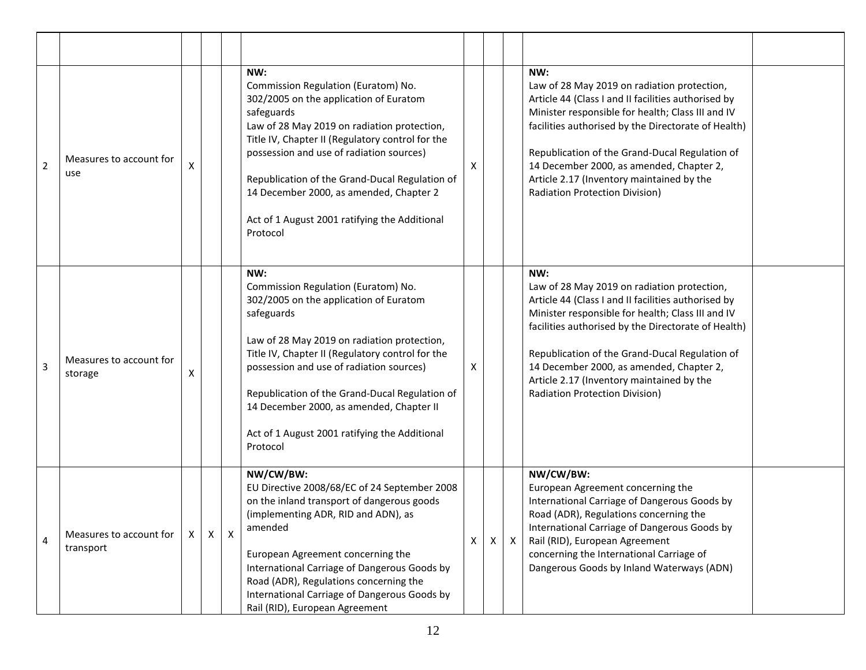| $\overline{2}$ | Measures to account for<br>use       | x            |   |   | NW:<br>Commission Regulation (Euratom) No.<br>302/2005 on the application of Euratom<br>safeguards<br>Law of 28 May 2019 on radiation protection,<br>Title IV, Chapter II (Regulatory control for the<br>possession and use of radiation sources)<br>Republication of the Grand-Ducal Regulation of<br>14 December 2000, as amended, Chapter 2<br>Act of 1 August 2001 ratifying the Additional<br>Protocol  | X |   |              | NW:<br>Law of 28 May 2019 on radiation protection,<br>Article 44 (Class I and II facilities authorised by<br>Minister responsible for health; Class III and IV<br>facilities authorised by the Directorate of Health)<br>Republication of the Grand-Ducal Regulation of<br>14 December 2000, as amended, Chapter 2,<br>Article 2.17 (Inventory maintained by the<br>Radiation Protection Division) |
|----------------|--------------------------------------|--------------|---|---|--------------------------------------------------------------------------------------------------------------------------------------------------------------------------------------------------------------------------------------------------------------------------------------------------------------------------------------------------------------------------------------------------------------|---|---|--------------|----------------------------------------------------------------------------------------------------------------------------------------------------------------------------------------------------------------------------------------------------------------------------------------------------------------------------------------------------------------------------------------------------|
| 3              | Measures to account for<br>storage   | X            |   |   | NW:<br>Commission Regulation (Euratom) No.<br>302/2005 on the application of Euratom<br>safeguards<br>Law of 28 May 2019 on radiation protection,<br>Title IV, Chapter II (Regulatory control for the<br>possession and use of radiation sources)<br>Republication of the Grand-Ducal Regulation of<br>14 December 2000, as amended, Chapter II<br>Act of 1 August 2001 ratifying the Additional<br>Protocol | X |   |              | NW:<br>Law of 28 May 2019 on radiation protection,<br>Article 44 (Class I and II facilities authorised by<br>Minister responsible for health; Class III and IV<br>facilities authorised by the Directorate of Health)<br>Republication of the Grand-Ducal Regulation of<br>14 December 2000, as amended, Chapter 2,<br>Article 2.17 (Inventory maintained by the<br>Radiation Protection Division) |
| 4              | Measures to account for<br>transport | $\mathsf{X}$ | X | X | NW/CW/BW:<br>EU Directive 2008/68/EC of 24 September 2008<br>on the inland transport of dangerous goods<br>(implementing ADR, RID and ADN), as<br>amended<br>European Agreement concerning the<br>International Carriage of Dangerous Goods by<br>Road (ADR), Regulations concerning the<br>International Carriage of Dangerous Goods by<br>Rail (RID), European Agreement                                   | X | Χ | $\mathsf{X}$ | NW/CW/BW:<br>European Agreement concerning the<br>International Carriage of Dangerous Goods by<br>Road (ADR), Regulations concerning the<br>International Carriage of Dangerous Goods by<br>Rail (RID), European Agreement<br>concerning the International Carriage of<br>Dangerous Goods by Inland Waterways (ADN)                                                                                |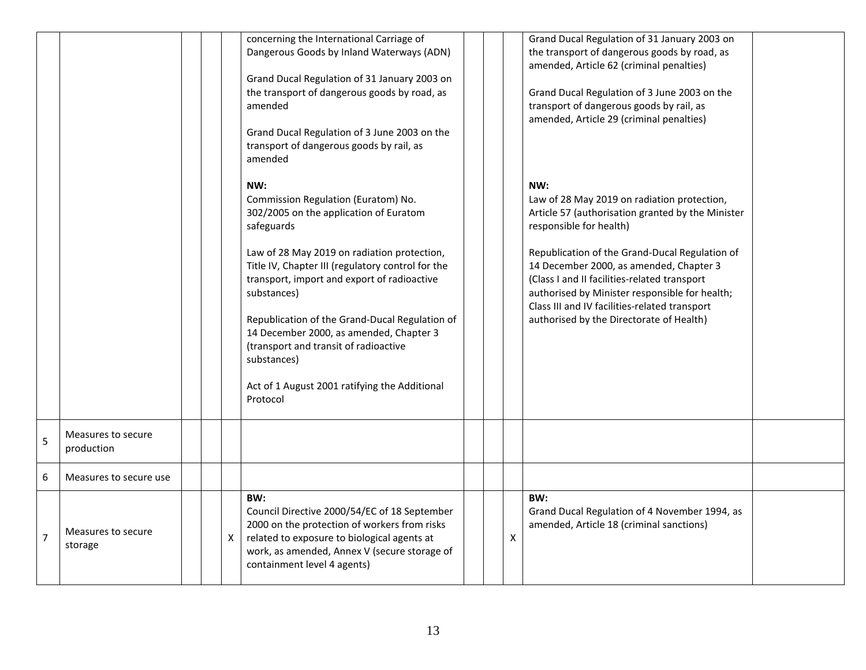|   |                                  |  |              | concerning the International Carriage of<br>Dangerous Goods by Inland Waterways (ADN)<br>Grand Ducal Regulation of 31 January 2003 on<br>the transport of dangerous goods by road, as<br>amended<br>Grand Ducal Regulation of 3 June 2003 on the<br>transport of dangerous goods by rail, as<br>amended                                                                                                                                                                                |  |   | Grand Ducal Regulation of 31 January 2003 on<br>the transport of dangerous goods by road, as<br>amended, Article 62 (criminal penalties)<br>Grand Ducal Regulation of 3 June 2003 on the<br>transport of dangerous goods by rail, as<br>amended, Article 29 (criminal penalties)                                                                                                                                               |  |
|---|----------------------------------|--|--------------|----------------------------------------------------------------------------------------------------------------------------------------------------------------------------------------------------------------------------------------------------------------------------------------------------------------------------------------------------------------------------------------------------------------------------------------------------------------------------------------|--|---|--------------------------------------------------------------------------------------------------------------------------------------------------------------------------------------------------------------------------------------------------------------------------------------------------------------------------------------------------------------------------------------------------------------------------------|--|
|   |                                  |  |              | NW:<br>Commission Regulation (Euratom) No.<br>302/2005 on the application of Euratom<br>safeguards<br>Law of 28 May 2019 on radiation protection,<br>Title IV, Chapter III (regulatory control for the<br>transport, import and export of radioactive<br>substances)<br>Republication of the Grand-Ducal Regulation of<br>14 December 2000, as amended, Chapter 3<br>(transport and transit of radioactive<br>substances)<br>Act of 1 August 2001 ratifying the Additional<br>Protocol |  |   | NW:<br>Law of 28 May 2019 on radiation protection,<br>Article 57 (authorisation granted by the Minister<br>responsible for health)<br>Republication of the Grand-Ducal Regulation of<br>14 December 2000, as amended, Chapter 3<br>(Class I and II facilities-related transport<br>authorised by Minister responsible for health;<br>Class III and IV facilities-related transport<br>authorised by the Directorate of Health) |  |
| 5 | Measures to secure<br>production |  |              |                                                                                                                                                                                                                                                                                                                                                                                                                                                                                        |  |   |                                                                                                                                                                                                                                                                                                                                                                                                                                |  |
| 6 | Measures to secure use           |  |              |                                                                                                                                                                                                                                                                                                                                                                                                                                                                                        |  |   |                                                                                                                                                                                                                                                                                                                                                                                                                                |  |
| 7 | Measures to secure<br>storage    |  | $\mathsf{X}$ | BW:<br>Council Directive 2000/54/EC of 18 September<br>2000 on the protection of workers from risks<br>related to exposure to biological agents at<br>work, as amended, Annex V (secure storage of<br>containment level 4 agents)                                                                                                                                                                                                                                                      |  | X | BW:<br>Grand Ducal Regulation of 4 November 1994, as<br>amended, Article 18 (criminal sanctions)                                                                                                                                                                                                                                                                                                                               |  |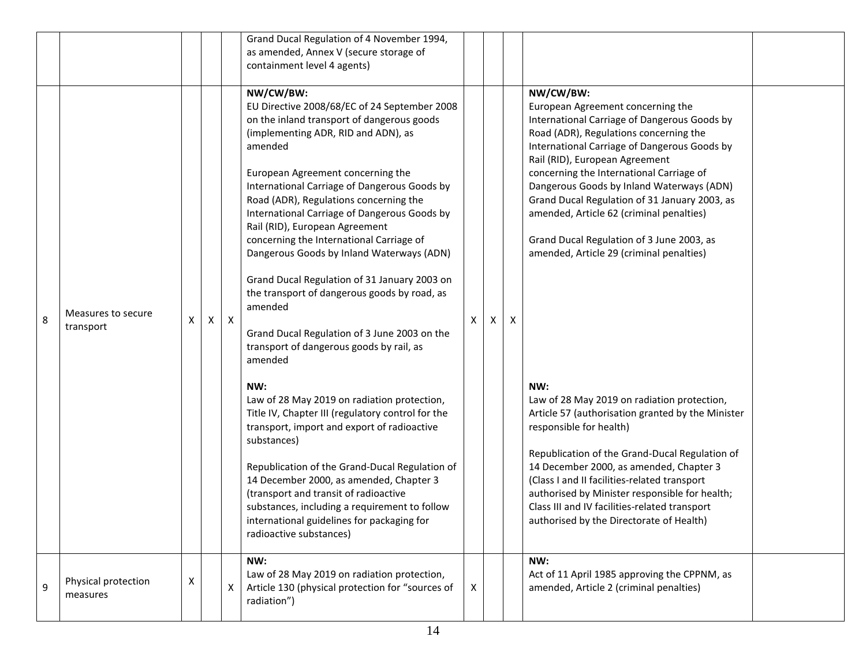|   |                                 |   |                           |              | Grand Ducal Regulation of 4 November 1994,<br>as amended, Annex V (secure storage of                                                                                                                                                                                                                                                                                                                                                                                                                                                                                                                                                                                                                                                                                                                                                                                                                                                                                                                                                                                                                                           |   |   |                                                                                                                                                                                                                                                                                                                                                                                                                                                                                                                                                                                                                                                                                                                                                                                                                                                                                                                                             |  |
|---|---------------------------------|---|---------------------------|--------------|--------------------------------------------------------------------------------------------------------------------------------------------------------------------------------------------------------------------------------------------------------------------------------------------------------------------------------------------------------------------------------------------------------------------------------------------------------------------------------------------------------------------------------------------------------------------------------------------------------------------------------------------------------------------------------------------------------------------------------------------------------------------------------------------------------------------------------------------------------------------------------------------------------------------------------------------------------------------------------------------------------------------------------------------------------------------------------------------------------------------------------|---|---|---------------------------------------------------------------------------------------------------------------------------------------------------------------------------------------------------------------------------------------------------------------------------------------------------------------------------------------------------------------------------------------------------------------------------------------------------------------------------------------------------------------------------------------------------------------------------------------------------------------------------------------------------------------------------------------------------------------------------------------------------------------------------------------------------------------------------------------------------------------------------------------------------------------------------------------------|--|
|   |                                 |   |                           |              | containment level 4 agents)                                                                                                                                                                                                                                                                                                                                                                                                                                                                                                                                                                                                                                                                                                                                                                                                                                                                                                                                                                                                                                                                                                    |   |   |                                                                                                                                                                                                                                                                                                                                                                                                                                                                                                                                                                                                                                                                                                                                                                                                                                                                                                                                             |  |
| 8 | Measures to secure<br>transport | X | $\boldsymbol{\mathsf{X}}$ | $\mathsf{X}$ | NW/CW/BW:<br>EU Directive 2008/68/EC of 24 September 2008<br>on the inland transport of dangerous goods<br>(implementing ADR, RID and ADN), as<br>amended<br>European Agreement concerning the<br>International Carriage of Dangerous Goods by<br>Road (ADR), Regulations concerning the<br>International Carriage of Dangerous Goods by<br>Rail (RID), European Agreement<br>concerning the International Carriage of<br>Dangerous Goods by Inland Waterways (ADN)<br>Grand Ducal Regulation of 31 January 2003 on<br>the transport of dangerous goods by road, as<br>amended<br>Grand Ducal Regulation of 3 June 2003 on the<br>transport of dangerous goods by rail, as<br>amended<br>NW:<br>Law of 28 May 2019 on radiation protection,<br>Title IV, Chapter III (regulatory control for the<br>transport, import and export of radioactive<br>substances)<br>Republication of the Grand-Ducal Regulation of<br>14 December 2000, as amended, Chapter 3<br>(transport and transit of radioactive<br>substances, including a requirement to follow<br>international guidelines for packaging for<br>radioactive substances) | X | X | NW/CW/BW:<br>European Agreement concerning the<br>International Carriage of Dangerous Goods by<br>Road (ADR), Regulations concerning the<br>International Carriage of Dangerous Goods by<br>Rail (RID), European Agreement<br>concerning the International Carriage of<br>Dangerous Goods by Inland Waterways (ADN)<br>Grand Ducal Regulation of 31 January 2003, as<br>amended, Article 62 (criminal penalties)<br>Grand Ducal Regulation of 3 June 2003, as<br>amended, Article 29 (criminal penalties)<br>NW:<br>Law of 28 May 2019 on radiation protection,<br>Article 57 (authorisation granted by the Minister<br>responsible for health)<br>Republication of the Grand-Ducal Regulation of<br>14 December 2000, as amended, Chapter 3<br>(Class I and II facilities-related transport<br>authorised by Minister responsible for health;<br>Class III and IV facilities-related transport<br>authorised by the Directorate of Health) |  |
| 9 | Physical protection<br>measures | X |                           | X            | NW:<br>Law of 28 May 2019 on radiation protection,<br>Article 130 (physical protection for "sources of<br>radiation")                                                                                                                                                                                                                                                                                                                                                                                                                                                                                                                                                                                                                                                                                                                                                                                                                                                                                                                                                                                                          | X |   | NW:<br>Act of 11 April 1985 approving the CPPNM, as<br>amended, Article 2 (criminal penalties)                                                                                                                                                                                                                                                                                                                                                                                                                                                                                                                                                                                                                                                                                                                                                                                                                                              |  |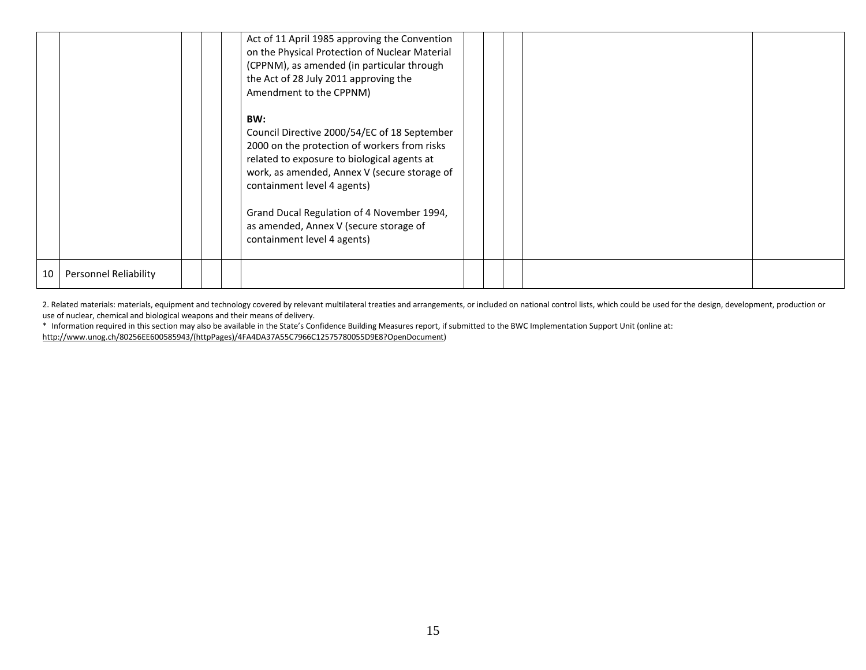|    |                       |  | Act of 11 April 1985 approving the Convention<br>on the Physical Protection of Nuclear Material<br>(CPPNM), as amended (in particular through<br>the Act of 28 July 2011 approving the<br>Amendment to the CPPNM)                                                                                                                                        |  |  |  |
|----|-----------------------|--|----------------------------------------------------------------------------------------------------------------------------------------------------------------------------------------------------------------------------------------------------------------------------------------------------------------------------------------------------------|--|--|--|
|    |                       |  | BW:<br>Council Directive 2000/54/EC of 18 September<br>2000 on the protection of workers from risks<br>related to exposure to biological agents at<br>work, as amended, Annex V (secure storage of<br>containment level 4 agents)<br>Grand Ducal Regulation of 4 November 1994,<br>as amended, Annex V (secure storage of<br>containment level 4 agents) |  |  |  |
| 10 | Personnel Reliability |  |                                                                                                                                                                                                                                                                                                                                                          |  |  |  |

2. Related materials: materials, equipment and technology covered by relevant multilateral treaties and arrangements, or included on national control lists, which could be used for the design, development, production or use of nuclear, chemical and biological weapons and their means of delivery.

\* Information required in this section may also be available in the State's Confidence Building Measures report, if submitted to the BWC Implementation Support Unit (online at:

[http://www.unog.ch/80256EE600585943/\(httpPages\)/4FA4DA37A55C7966C12575780055D9E8?OpenDocument\)](http://www.unog.ch/80256EE600585943/(httpPages)/4FA4DA37A55C7966C12575780055D9E8?OpenDocument)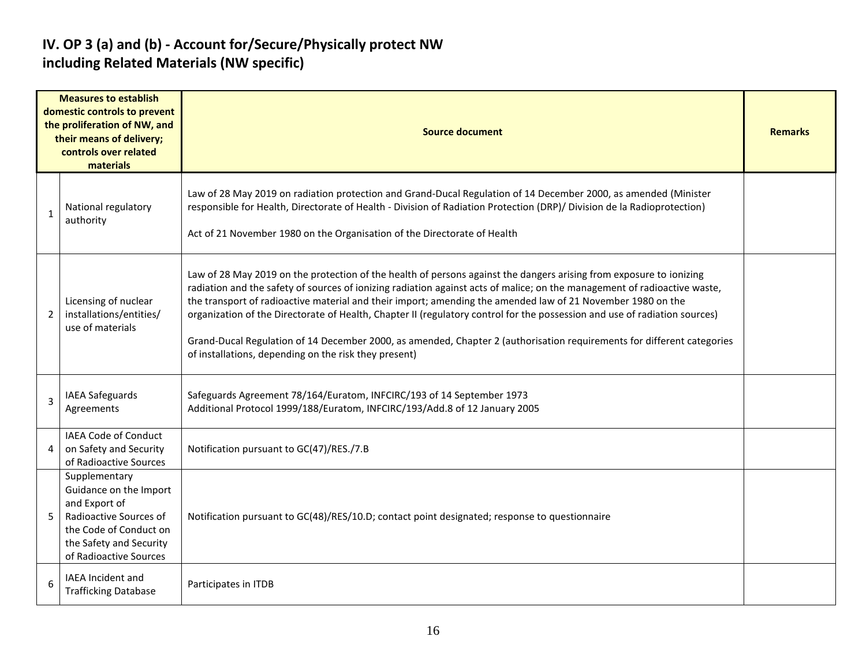#### **IV. OP 3 (a) and (b) - Account for/Secure/Physically protect NW including Related Materials (NW specific)**

|                | <b>Measures to establish</b><br>domestic controls to prevent<br>the proliferation of NW, and<br>their means of delivery;<br>controls over related<br>materials    | <b>Source document</b>                                                                                                                                                                                                                                                                                                                                                                                                                                                                                                                                                                                                                                                           | <b>Remarks</b> |
|----------------|-------------------------------------------------------------------------------------------------------------------------------------------------------------------|----------------------------------------------------------------------------------------------------------------------------------------------------------------------------------------------------------------------------------------------------------------------------------------------------------------------------------------------------------------------------------------------------------------------------------------------------------------------------------------------------------------------------------------------------------------------------------------------------------------------------------------------------------------------------------|----------------|
| 1              | National regulatory<br>authority                                                                                                                                  | Law of 28 May 2019 on radiation protection and Grand-Ducal Regulation of 14 December 2000, as amended (Minister<br>responsible for Health, Directorate of Health - Division of Radiation Protection (DRP)/ Division de la Radioprotection)<br>Act of 21 November 1980 on the Organisation of the Directorate of Health                                                                                                                                                                                                                                                                                                                                                           |                |
| $\overline{2}$ | Licensing of nuclear<br>installations/entities/<br>use of materials                                                                                               | Law of 28 May 2019 on the protection of the health of persons against the dangers arising from exposure to ionizing<br>radiation and the safety of sources of ionizing radiation against acts of malice; on the management of radioactive waste,<br>the transport of radioactive material and their import; amending the amended law of 21 November 1980 on the<br>organization of the Directorate of Health, Chapter II (regulatory control for the possession and use of radiation sources)<br>Grand-Ducal Regulation of 14 December 2000, as amended, Chapter 2 (authorisation requirements for different categories<br>of installations, depending on the risk they present) |                |
| 3              | <b>IAEA Safeguards</b><br>Agreements                                                                                                                              | Safeguards Agreement 78/164/Euratom, INFCIRC/193 of 14 September 1973<br>Additional Protocol 1999/188/Euratom, INFCIRC/193/Add.8 of 12 January 2005                                                                                                                                                                                                                                                                                                                                                                                                                                                                                                                              |                |
| 4              | <b>IAEA Code of Conduct</b><br>on Safety and Security<br>of Radioactive Sources                                                                                   | Notification pursuant to GC(47)/RES./7.B                                                                                                                                                                                                                                                                                                                                                                                                                                                                                                                                                                                                                                         |                |
| 5              | Supplementary<br>Guidance on the Import<br>and Export of<br>Radioactive Sources of<br>the Code of Conduct on<br>the Safety and Security<br>of Radioactive Sources | Notification pursuant to GC(48)/RES/10.D; contact point designated; response to questionnaire                                                                                                                                                                                                                                                                                                                                                                                                                                                                                                                                                                                    |                |
| 6              | IAEA Incident and<br><b>Trafficking Database</b>                                                                                                                  | Participates in ITDB                                                                                                                                                                                                                                                                                                                                                                                                                                                                                                                                                                                                                                                             |                |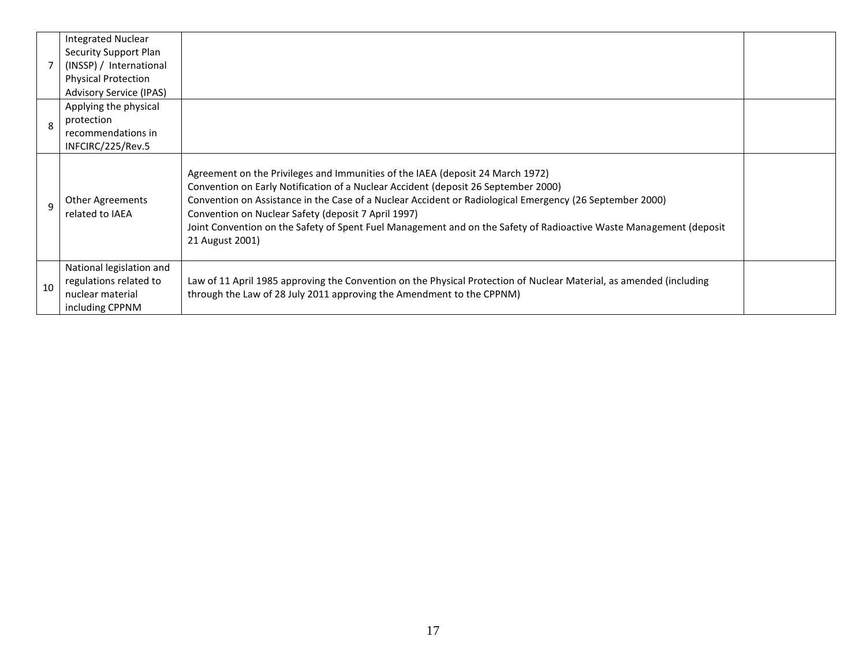|    | <b>Integrated Nuclear</b><br>Security Support Plan<br>(INSSP) / International<br><b>Physical Protection</b><br><b>Advisory Service (IPAS)</b> |                                                                                                                                                                                                                                                                                                                                                                                                                                                                                  |  |
|----|-----------------------------------------------------------------------------------------------------------------------------------------------|----------------------------------------------------------------------------------------------------------------------------------------------------------------------------------------------------------------------------------------------------------------------------------------------------------------------------------------------------------------------------------------------------------------------------------------------------------------------------------|--|
| 8  | Applying the physical<br>protection<br>recommendations in<br>INFCIRC/225/Rev.5                                                                |                                                                                                                                                                                                                                                                                                                                                                                                                                                                                  |  |
|    | <b>Other Agreements</b><br>related to IAEA                                                                                                    | Agreement on the Privileges and Immunities of the IAEA (deposit 24 March 1972)<br>Convention on Early Notification of a Nuclear Accident (deposit 26 September 2000)<br>Convention on Assistance in the Case of a Nuclear Accident or Radiological Emergency (26 September 2000)<br>Convention on Nuclear Safety (deposit 7 April 1997)<br>Joint Convention on the Safety of Spent Fuel Management and on the Safety of Radioactive Waste Management (deposit<br>21 August 2001) |  |
| 10 | National legislation and<br>regulations related to<br>nuclear material<br>including CPPNM                                                     | Law of 11 April 1985 approving the Convention on the Physical Protection of Nuclear Material, as amended (including<br>through the Law of 28 July 2011 approving the Amendment to the CPPNM)                                                                                                                                                                                                                                                                                     |  |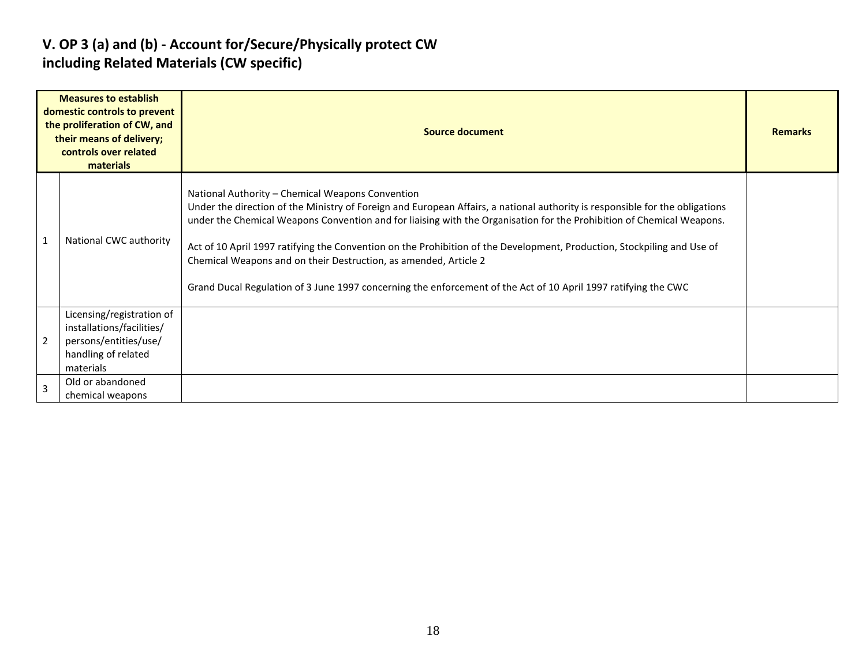#### **V. OP 3 (a) and (b) - Account for/Secure/Physically protect CW including Related Materials (CW specific)**

|                | <b>Measures to establish</b><br>domestic controls to prevent<br>the proliferation of CW, and<br>their means of delivery;<br>controls over related<br>materials | <b>Source document</b>                                                                                                                                                                                                                                                                                                                                                                                                                                                                                                                                                                                                     |  |  |  |  |  |  |  |
|----------------|----------------------------------------------------------------------------------------------------------------------------------------------------------------|----------------------------------------------------------------------------------------------------------------------------------------------------------------------------------------------------------------------------------------------------------------------------------------------------------------------------------------------------------------------------------------------------------------------------------------------------------------------------------------------------------------------------------------------------------------------------------------------------------------------------|--|--|--|--|--|--|--|
| $\overline{1}$ | National CWC authority                                                                                                                                         | National Authority – Chemical Weapons Convention<br>Under the direction of the Ministry of Foreign and European Affairs, a national authority is responsible for the obligations<br>under the Chemical Weapons Convention and for liaising with the Organisation for the Prohibition of Chemical Weapons.<br>Act of 10 April 1997 ratifying the Convention on the Prohibition of the Development, Production, Stockpiling and Use of<br>Chemical Weapons and on their Destruction, as amended, Article 2<br>Grand Ducal Regulation of 3 June 1997 concerning the enforcement of the Act of 10 April 1997 ratifying the CWC |  |  |  |  |  |  |  |
| $\overline{2}$ | Licensing/registration of<br>installations/facilities/<br>persons/entities/use/<br>handling of related<br>materials                                            |                                                                                                                                                                                                                                                                                                                                                                                                                                                                                                                                                                                                                            |  |  |  |  |  |  |  |
| $\overline{3}$ | Old or abandoned<br>chemical weapons                                                                                                                           |                                                                                                                                                                                                                                                                                                                                                                                                                                                                                                                                                                                                                            |  |  |  |  |  |  |  |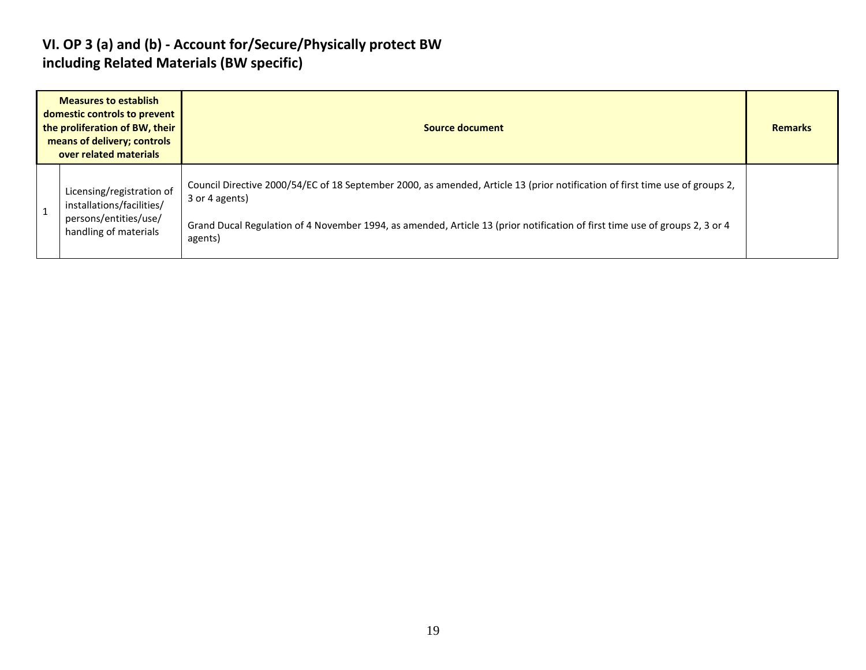#### **VI. OP 3 (a) and (b) - Account for/Secure/Physically protect BW including Related Materials (BW specific)**

| <b>Measures to establish</b><br>domestic controls to prevent<br>the proliferation of BW, their<br>means of delivery; controls<br>over related materials | Source document                                                                                                                                                                                                                                                                          |  |  |  |  |  |
|---------------------------------------------------------------------------------------------------------------------------------------------------------|------------------------------------------------------------------------------------------------------------------------------------------------------------------------------------------------------------------------------------------------------------------------------------------|--|--|--|--|--|
| Licensing/registration of<br>installations/facilities/<br>persons/entities/use/<br>handling of materials                                                | Council Directive 2000/54/EC of 18 September 2000, as amended, Article 13 (prior notification of first time use of groups 2,<br>3 or 4 agents)<br>Grand Ducal Regulation of 4 November 1994, as amended, Article 13 (prior notification of first time use of groups 2, 3 or 4<br>agents) |  |  |  |  |  |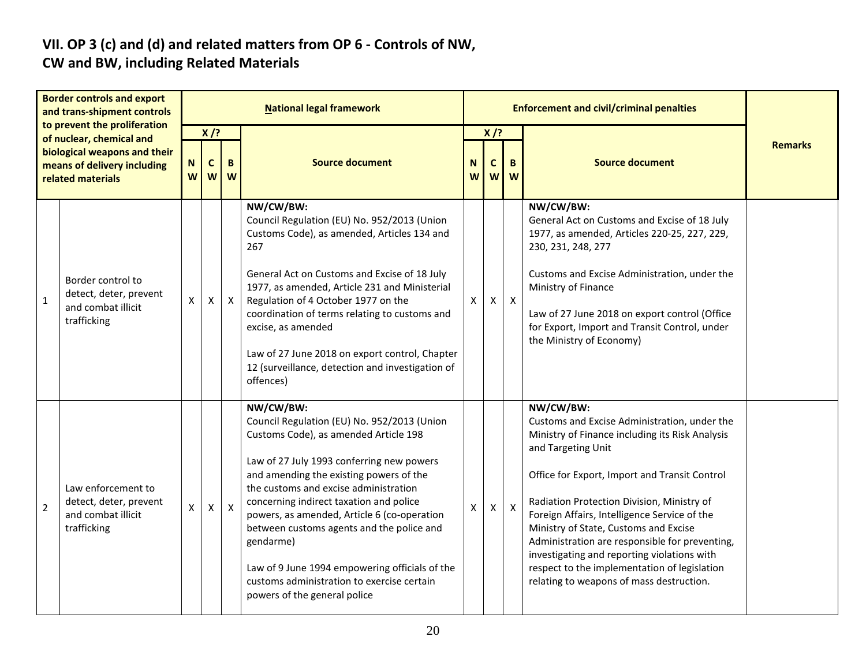# **VII. OP 3 (c) and (d) and related matters from OP 6 - Controls of NW,**

#### **CW and BW, including Related Materials**

|                | <b>Border controls and export</b><br>and trans-shipment controls                                                                             | <b>National legal framework</b> |                  |              |                                                                                                                                                                                                                                                                                                                                                                                                                                                                                                                        |              |                            |              | <b>Enforcement and civil/criminal penalties</b>                                                                                                                                                                                                                                                                                                                                                                                                                                                                         |                |  |  |  |
|----------------|----------------------------------------------------------------------------------------------------------------------------------------------|---------------------------------|------------------|--------------|------------------------------------------------------------------------------------------------------------------------------------------------------------------------------------------------------------------------------------------------------------------------------------------------------------------------------------------------------------------------------------------------------------------------------------------------------------------------------------------------------------------------|--------------|----------------------------|--------------|-------------------------------------------------------------------------------------------------------------------------------------------------------------------------------------------------------------------------------------------------------------------------------------------------------------------------------------------------------------------------------------------------------------------------------------------------------------------------------------------------------------------------|----------------|--|--|--|
|                | to prevent the proliferation<br>of nuclear, chemical and<br>biological weapons and their<br>means of delivery including<br>related materials | N<br>W                          | $X$ /?<br>C<br>W | B<br>W       | <b>Source document</b>                                                                                                                                                                                                                                                                                                                                                                                                                                                                                                 | N<br>W       | $X$ /?<br>$\mathbf c$<br>W | B<br>W       | <b>Source document</b>                                                                                                                                                                                                                                                                                                                                                                                                                                                                                                  | <b>Remarks</b> |  |  |  |
| $\mathbf{1}$   | Border control to<br>detect, deter, prevent<br>and combat illicit<br>trafficking                                                             | X                               | X                | $\mathsf{X}$ | NW/CW/BW:<br>Council Regulation (EU) No. 952/2013 (Union<br>Customs Code), as amended, Articles 134 and<br>267<br>General Act on Customs and Excise of 18 July<br>1977, as amended, Article 231 and Ministerial<br>Regulation of 4 October 1977 on the<br>coordination of terms relating to customs and<br>excise, as amended<br>Law of 27 June 2018 on export control, Chapter<br>12 (surveillance, detection and investigation of<br>offences)                                                                       | $\mathsf{x}$ | $\mathsf{X}$               | $\mathsf{X}$ | NW/CW/BW:<br>General Act on Customs and Excise of 18 July<br>1977, as amended, Articles 220-25, 227, 229,<br>230, 231, 248, 277<br>Customs and Excise Administration, under the<br>Ministry of Finance<br>Law of 27 June 2018 on export control (Office<br>for Export, Import and Transit Control, under<br>the Ministry of Economy)                                                                                                                                                                                    |                |  |  |  |
| $\overline{2}$ | Law enforcement to<br>detect, deter, prevent<br>and combat illicit<br>trafficking                                                            | X                               | $\mathsf{X}$     | $\mathsf{X}$ | NW/CW/BW:<br>Council Regulation (EU) No. 952/2013 (Union<br>Customs Code), as amended Article 198<br>Law of 27 July 1993 conferring new powers<br>and amending the existing powers of the<br>the customs and excise administration<br>concerning indirect taxation and police<br>powers, as amended, Article 6 (co-operation<br>between customs agents and the police and<br>gendarme)<br>Law of 9 June 1994 empowering officials of the<br>customs administration to exercise certain<br>powers of the general police | <b>X</b>     | $\mathsf{X}^-$             | $\mathsf{X}$ | NW/CW/BW:<br>Customs and Excise Administration, under the<br>Ministry of Finance including its Risk Analysis<br>and Targeting Unit<br>Office for Export, Import and Transit Control<br>Radiation Protection Division, Ministry of<br>Foreign Affairs, Intelligence Service of the<br>Ministry of State, Customs and Excise<br>Administration are responsible for preventing,<br>investigating and reporting violations with<br>respect to the implementation of legislation<br>relating to weapons of mass destruction. |                |  |  |  |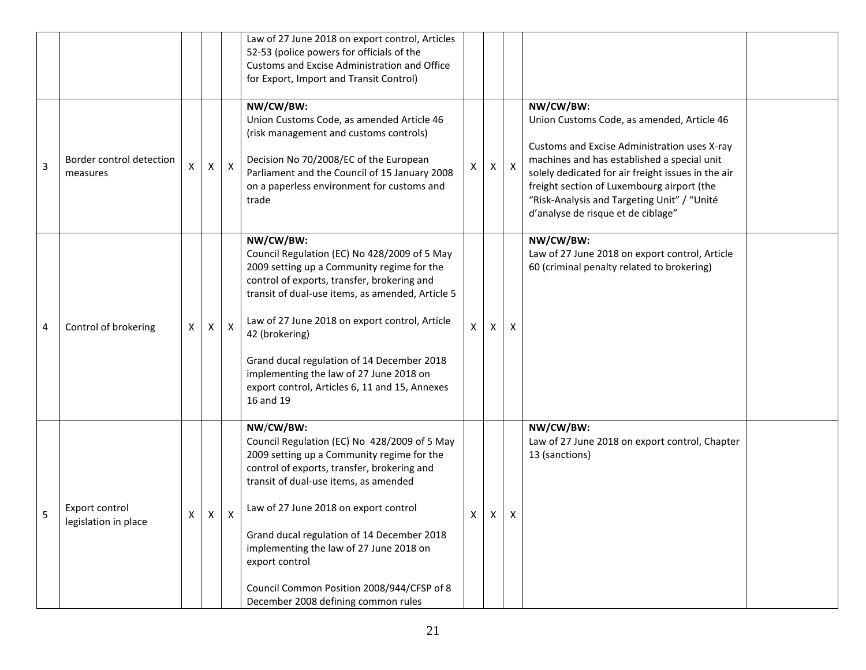|   |                                        |   |   |                           | Law of 27 June 2018 on export control, Articles<br>52-53 (police powers for officials of the<br>Customs and Excise Administration and Office<br>for Export, Import and Transit Control)                                                                                                                                                                                                                                                  |                |   |                           |                                                                                                                                                                                                                                                                                                                                                 |  |
|---|----------------------------------------|---|---|---------------------------|------------------------------------------------------------------------------------------------------------------------------------------------------------------------------------------------------------------------------------------------------------------------------------------------------------------------------------------------------------------------------------------------------------------------------------------|----------------|---|---------------------------|-------------------------------------------------------------------------------------------------------------------------------------------------------------------------------------------------------------------------------------------------------------------------------------------------------------------------------------------------|--|
| 3 | Border control detection<br>measures   | X | Χ | $\boldsymbol{\mathsf{X}}$ | NW/CW/BW:<br>Union Customs Code, as amended Article 46<br>(risk management and customs controls)<br>Decision No 70/2008/EC of the European<br>Parliament and the Council of 15 January 2008<br>on a paperless environment for customs and<br>trade                                                                                                                                                                                       | Х              | х | $\boldsymbol{\mathsf{X}}$ | NW/CW/BW:<br>Union Customs Code, as amended, Article 46<br>Customs and Excise Administration uses X-ray<br>machines and has established a special unit<br>solely dedicated for air freight issues in the air<br>freight section of Luxembourg airport (the<br>"Risk-Analysis and Targeting Unit" / "Unité<br>d'analyse de risque et de ciblage" |  |
| 4 | Control of brokering                   | X | X | $\mathsf{X}$              | NW/CW/BW:<br>Council Regulation (EC) No 428/2009 of 5 May<br>2009 setting up a Community regime for the<br>control of exports, transfer, brokering and<br>transit of dual-use items, as amended, Article 5<br>Law of 27 June 2018 on export control, Article<br>42 (brokering)<br>Grand ducal regulation of 14 December 2018<br>implementing the law of 27 June 2018 on<br>export control, Articles 6, 11 and 15, Annexes<br>16 and 19   | $\pmb{\times}$ | Χ | X                         | NW/CW/BW:<br>Law of 27 June 2018 on export control, Article<br>60 (criminal penalty related to brokering)                                                                                                                                                                                                                                       |  |
| 5 | Export control<br>legislation in place | X | X | Χ                         | NW/CW/BW:<br>Council Regulation (EC) No 428/2009 of 5 May<br>2009 setting up a Community regime for the<br>control of exports, transfer, brokering and<br>transit of dual-use items, as amended<br>Law of 27 June 2018 on export control<br>Grand ducal regulation of 14 December 2018<br>implementing the law of 27 June 2018 on<br>export control<br>Council Common Position 2008/944/CFSP of 8<br>December 2008 defining common rules | X              | X | X                         | NW/CW/BW:<br>Law of 27 June 2018 on export control, Chapter<br>13 (sanctions)                                                                                                                                                                                                                                                                   |  |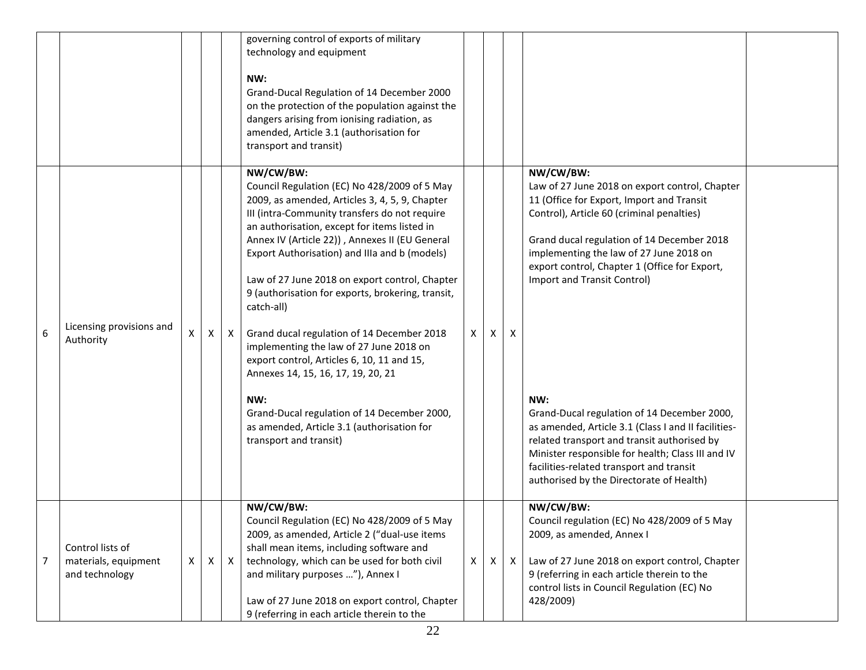|   |                                                            |    |   |              | governing control of exports of military<br>technology and equipment<br>NW:<br>Grand-Ducal Regulation of 14 December 2000<br>on the protection of the population against the<br>dangers arising from ionising radiation, as<br>amended, Article 3.1 (authorisation for<br>transport and transit)                                                                                                                                                                                                                                                                                                                                                                                                                                                |   |   |              |                                                                                                                                                                                                                                                                                                                                                                                                                                                                                                                                                                                                                                         |  |
|---|------------------------------------------------------------|----|---|--------------|-------------------------------------------------------------------------------------------------------------------------------------------------------------------------------------------------------------------------------------------------------------------------------------------------------------------------------------------------------------------------------------------------------------------------------------------------------------------------------------------------------------------------------------------------------------------------------------------------------------------------------------------------------------------------------------------------------------------------------------------------|---|---|--------------|-----------------------------------------------------------------------------------------------------------------------------------------------------------------------------------------------------------------------------------------------------------------------------------------------------------------------------------------------------------------------------------------------------------------------------------------------------------------------------------------------------------------------------------------------------------------------------------------------------------------------------------------|--|
| 6 | Licensing provisions and<br>Authority                      | X. | Χ | $\mathsf{X}$ | NW/CW/BW:<br>Council Regulation (EC) No 428/2009 of 5 May<br>2009, as amended, Articles 3, 4, 5, 9, Chapter<br>III (intra-Community transfers do not require<br>an authorisation, except for items listed in<br>Annex IV (Article 22)), Annexes II (EU General<br>Export Authorisation) and IIIa and b (models)<br>Law of 27 June 2018 on export control, Chapter<br>9 (authorisation for exports, brokering, transit,<br>catch-all)<br>Grand ducal regulation of 14 December 2018<br>implementing the law of 27 June 2018 on<br>export control, Articles 6, 10, 11 and 15,<br>Annexes 14, 15, 16, 17, 19, 20, 21<br>NW:<br>Grand-Ducal regulation of 14 December 2000,<br>as amended, Article 3.1 (authorisation for<br>transport and transit) | X | X | X            | NW/CW/BW:<br>Law of 27 June 2018 on export control, Chapter<br>11 (Office for Export, Import and Transit<br>Control), Article 60 (criminal penalties)<br>Grand ducal regulation of 14 December 2018<br>implementing the law of 27 June 2018 on<br>export control, Chapter 1 (Office for Export,<br>Import and Transit Control)<br>NW:<br>Grand-Ducal regulation of 14 December 2000,<br>as amended, Article 3.1 (Class I and II facilities-<br>related transport and transit authorised by<br>Minister responsible for health; Class III and IV<br>facilities-related transport and transit<br>authorised by the Directorate of Health) |  |
| 7 | Control lists of<br>materials, equipment<br>and technology | X  | X | $\mathsf{X}$ | NW/CW/BW:<br>Council Regulation (EC) No 428/2009 of 5 May<br>2009, as amended, Article 2 ("dual-use items<br>shall mean items, including software and<br>technology, which can be used for both civil<br>and military purposes "), Annex I<br>Law of 27 June 2018 on export control, Chapter<br>9 (referring in each article therein to the                                                                                                                                                                                                                                                                                                                                                                                                     | X | X | $\mathsf{x}$ | NW/CW/BW:<br>Council regulation (EC) No 428/2009 of 5 May<br>2009, as amended, Annex I<br>Law of 27 June 2018 on export control, Chapter<br>9 (referring in each article therein to the<br>control lists in Council Regulation (EC) No<br>428/2009)                                                                                                                                                                                                                                                                                                                                                                                     |  |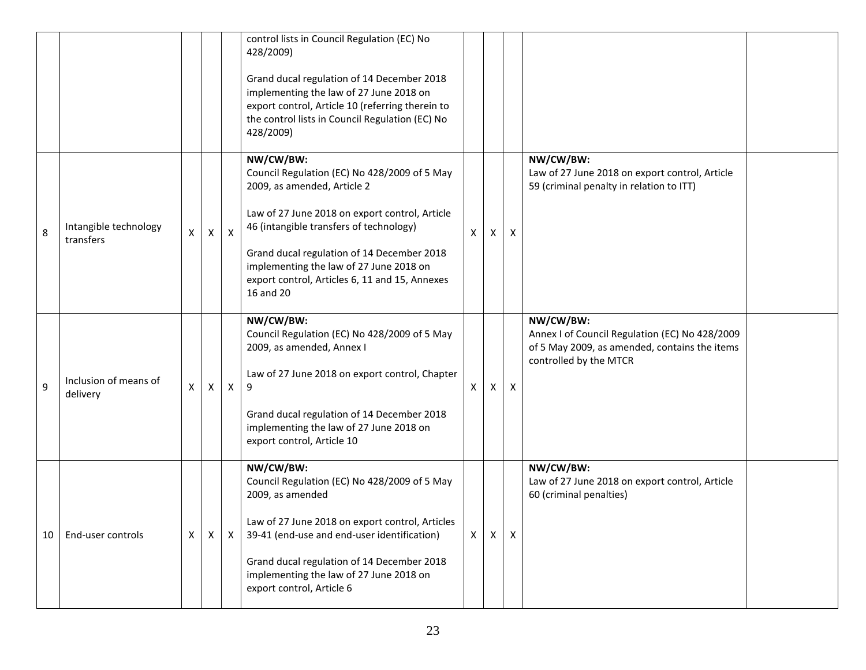|    |                                    |              |                |              | control lists in Council Regulation (EC) No<br>428/2009)<br>Grand ducal regulation of 14 December 2018<br>implementing the law of 27 June 2018 on<br>export control, Article 10 (referring therein to<br>the control lists in Council Regulation (EC) No<br>428/2009)                                                                         |              |   |              |                                                                                                                                        |  |
|----|------------------------------------|--------------|----------------|--------------|-----------------------------------------------------------------------------------------------------------------------------------------------------------------------------------------------------------------------------------------------------------------------------------------------------------------------------------------------|--------------|---|--------------|----------------------------------------------------------------------------------------------------------------------------------------|--|
| 8  | Intangible technology<br>transfers | X            | $\mathsf{X}^-$ | $\mathsf{X}$ | NW/CW/BW:<br>Council Regulation (EC) No 428/2009 of 5 May<br>2009, as amended, Article 2<br>Law of 27 June 2018 on export control, Article<br>46 (intangible transfers of technology)<br>Grand ducal regulation of 14 December 2018<br>implementing the law of 27 June 2018 on<br>export control, Articles 6, 11 and 15, Annexes<br>16 and 20 | $\mathsf{X}$ | X | X            | NW/CW/BW:<br>Law of 27 June 2018 on export control, Article<br>59 (criminal penalty in relation to ITT)                                |  |
| 9  | Inclusion of means of<br>delivery  | X.           | X              | $\mathsf{X}$ | NW/CW/BW:<br>Council Regulation (EC) No 428/2009 of 5 May<br>2009, as amended, Annex I<br>Law of 27 June 2018 on export control, Chapter<br>9<br>Grand ducal regulation of 14 December 2018<br>implementing the law of 27 June 2018 on<br>export control, Article 10                                                                          | x.           | X | X            | NW/CW/BW:<br>Annex I of Council Regulation (EC) No 428/2009<br>of 5 May 2009, as amended, contains the items<br>controlled by the MTCR |  |
| 10 | End-user controls                  | $\mathsf{X}$ | X              | X            | NW/CW/BW:<br>Council Regulation (EC) No 428/2009 of 5 May<br>2009, as amended<br>Law of 27 June 2018 on export control, Articles<br>39-41 (end-use and end-user identification)<br>Grand ducal regulation of 14 December 2018<br>implementing the law of 27 June 2018 on<br>export control, Article 6                                         | $\mathsf{X}$ | Χ | $\mathsf{X}$ | NW/CW/BW:<br>Law of 27 June 2018 on export control, Article<br>60 (criminal penalties)                                                 |  |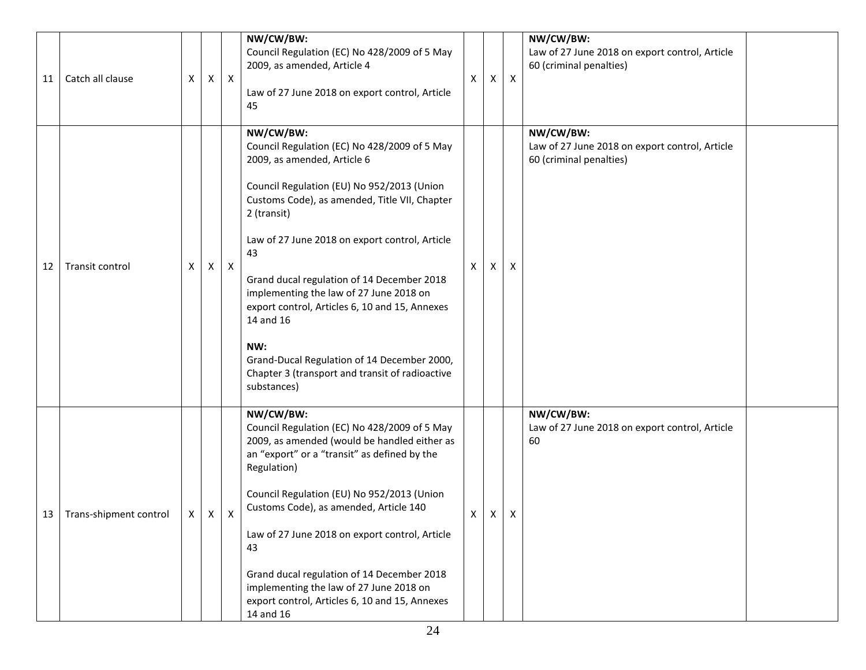| 11 | Catch all clause       | Χ | Χ | $\mathsf{X}$ | NW/CW/BW:<br>Council Regulation (EC) No 428/2009 of 5 May<br>2009, as amended, Article 4<br>Law of 27 June 2018 on export control, Article<br>45                                                                                                                                                                                                                                                                                                                                                                                               | X | Χ | X                         | NW/CW/BW:<br>Law of 27 June 2018 on export control, Article<br>60 (criminal penalties) |  |
|----|------------------------|---|---|--------------|------------------------------------------------------------------------------------------------------------------------------------------------------------------------------------------------------------------------------------------------------------------------------------------------------------------------------------------------------------------------------------------------------------------------------------------------------------------------------------------------------------------------------------------------|---|---|---------------------------|----------------------------------------------------------------------------------------|--|
| 12 | Transit control        | X | X | $\mathsf{X}$ | NW/CW/BW:<br>Council Regulation (EC) No 428/2009 of 5 May<br>2009, as amended, Article 6<br>Council Regulation (EU) No 952/2013 (Union<br>Customs Code), as amended, Title VII, Chapter<br>2 (transit)<br>Law of 27 June 2018 on export control, Article<br>43<br>Grand ducal regulation of 14 December 2018<br>implementing the law of 27 June 2018 on<br>export control, Articles 6, 10 and 15, Annexes<br>14 and 16<br>NW:<br>Grand-Ducal Regulation of 14 December 2000,<br>Chapter 3 (transport and transit of radioactive<br>substances) | X | X | $\boldsymbol{\mathsf{X}}$ | NW/CW/BW:<br>Law of 27 June 2018 on export control, Article<br>60 (criminal penalties) |  |
| 13 | Trans-shipment control | X | X | X            | NW/CW/BW:<br>Council Regulation (EC) No 428/2009 of 5 May<br>2009, as amended (would be handled either as<br>an "export" or a "transit" as defined by the<br>Regulation)<br>Council Regulation (EU) No 952/2013 (Union<br>Customs Code), as amended, Article 140<br>Law of 27 June 2018 on export control, Article<br>43<br>Grand ducal regulation of 14 December 2018<br>implementing the law of 27 June 2018 on<br>export control, Articles 6, 10 and 15, Annexes<br>14 and 16                                                               | X | X | X                         | NW/CW/BW:<br>Law of 27 June 2018 on export control, Article<br>60                      |  |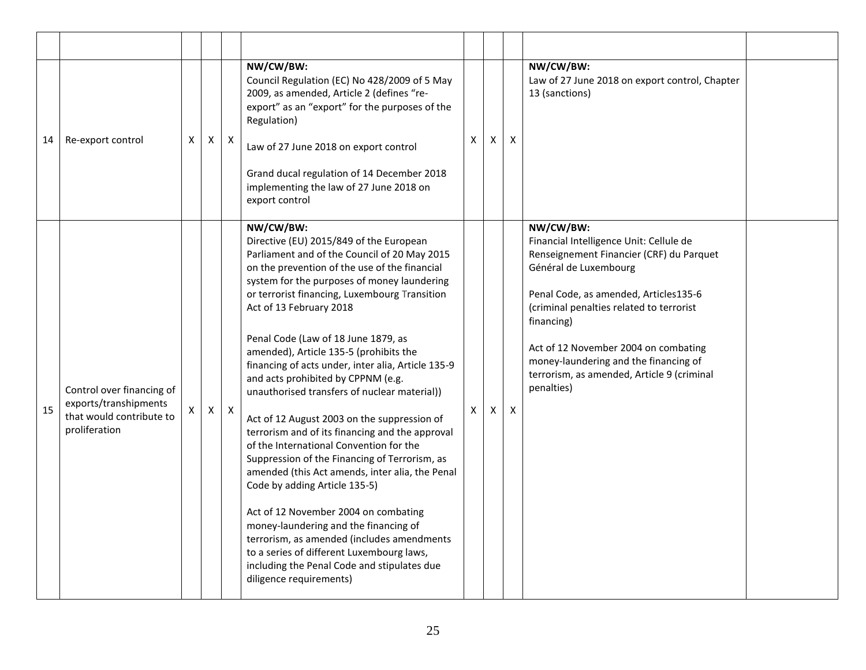| 14 | Re-export control                                                                               | Χ | X            | X            | NW/CW/BW:<br>Council Regulation (EC) No 428/2009 of 5 May<br>2009, as amended, Article 2 (defines "re-<br>export" as an "export" for the purposes of the<br>Regulation)<br>Law of 27 June 2018 on export control<br>Grand ducal regulation of 14 December 2018<br>implementing the law of 27 June 2018 on<br>export control                                                                                                                                                                                                                                                                                                                                                                                                                                                                                                                                                                                                                                                                                                                           | X. | X | $\pmb{\times}$ | NW/CW/BW:<br>Law of 27 June 2018 on export control, Chapter<br>13 (sanctions)                                                                                                                                                                                                                                                                                             |  |
|----|-------------------------------------------------------------------------------------------------|---|--------------|--------------|-------------------------------------------------------------------------------------------------------------------------------------------------------------------------------------------------------------------------------------------------------------------------------------------------------------------------------------------------------------------------------------------------------------------------------------------------------------------------------------------------------------------------------------------------------------------------------------------------------------------------------------------------------------------------------------------------------------------------------------------------------------------------------------------------------------------------------------------------------------------------------------------------------------------------------------------------------------------------------------------------------------------------------------------------------|----|---|----------------|---------------------------------------------------------------------------------------------------------------------------------------------------------------------------------------------------------------------------------------------------------------------------------------------------------------------------------------------------------------------------|--|
| 15 | Control over financing of<br>exports/transhipments<br>that would contribute to<br>proliferation |   | $\mathsf{X}$ | $\mathsf{X}$ | NW/CW/BW:<br>Directive (EU) 2015/849 of the European<br>Parliament and of the Council of 20 May 2015<br>on the prevention of the use of the financial<br>system for the purposes of money laundering<br>or terrorist financing, Luxembourg Transition<br>Act of 13 February 2018<br>Penal Code (Law of 18 June 1879, as<br>amended), Article 135-5 (prohibits the<br>financing of acts under, inter alia, Article 135-9<br>and acts prohibited by CPPNM (e.g.<br>unauthorised transfers of nuclear material))<br>Act of 12 August 2003 on the suppression of<br>terrorism and of its financing and the approval<br>of the International Convention for the<br>Suppression of the Financing of Terrorism, as<br>amended (this Act amends, inter alia, the Penal<br>Code by adding Article 135-5)<br>Act of 12 November 2004 on combating<br>money-laundering and the financing of<br>terrorism, as amended (includes amendments<br>to a series of different Luxembourg laws,<br>including the Penal Code and stipulates due<br>diligence requirements) | X. | X | $\pmb{\times}$ | NW/CW/BW:<br>Financial Intelligence Unit: Cellule de<br>Renseignement Financier (CRF) du Parquet<br>Général de Luxembourg<br>Penal Code, as amended, Articles135-6<br>(criminal penalties related to terrorist<br>financing)<br>Act of 12 November 2004 on combating<br>money-laundering and the financing of<br>terrorism, as amended, Article 9 (criminal<br>penalties) |  |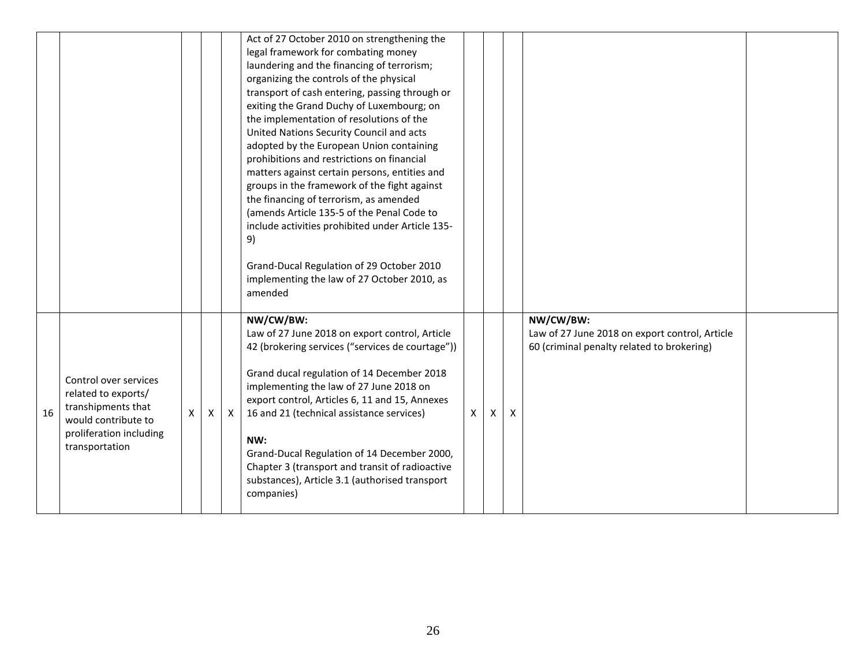|    |                                                                                                                                        |    |   |              | Act of 27 October 2010 on strengthening the<br>legal framework for combating money<br>laundering and the financing of terrorism;<br>organizing the controls of the physical<br>transport of cash entering, passing through or<br>exiting the Grand Duchy of Luxembourg; on<br>the implementation of resolutions of the<br>United Nations Security Council and acts<br>adopted by the European Union containing<br>prohibitions and restrictions on financial<br>matters against certain persons, entities and<br>groups in the framework of the fight against<br>the financing of terrorism, as amended<br>(amends Article 135-5 of the Penal Code to<br>include activities prohibited under Article 135-<br>9)<br>Grand-Ducal Regulation of 29 October 2010<br>implementing the law of 27 October 2010, as<br>amended |              |   |   |                                                                                                           |  |
|----|----------------------------------------------------------------------------------------------------------------------------------------|----|---|--------------|------------------------------------------------------------------------------------------------------------------------------------------------------------------------------------------------------------------------------------------------------------------------------------------------------------------------------------------------------------------------------------------------------------------------------------------------------------------------------------------------------------------------------------------------------------------------------------------------------------------------------------------------------------------------------------------------------------------------------------------------------------------------------------------------------------------------|--------------|---|---|-----------------------------------------------------------------------------------------------------------|--|
| 16 | Control over services<br>related to exports/<br>transhipments that<br>would contribute to<br>proliferation including<br>transportation | X. | X | $\mathsf{x}$ | NW/CW/BW:<br>Law of 27 June 2018 on export control, Article<br>42 (brokering services ("services de courtage"))<br>Grand ducal regulation of 14 December 2018<br>implementing the law of 27 June 2018 on<br>export control, Articles 6, 11 and 15, Annexes<br>16 and 21 (technical assistance services)<br>NW:<br>Grand-Ducal Regulation of 14 December 2000,<br>Chapter 3 (transport and transit of radioactive<br>substances), Article 3.1 (authorised transport<br>companies)                                                                                                                                                                                                                                                                                                                                       | $\mathsf{X}$ | X | X | NW/CW/BW:<br>Law of 27 June 2018 on export control, Article<br>60 (criminal penalty related to brokering) |  |